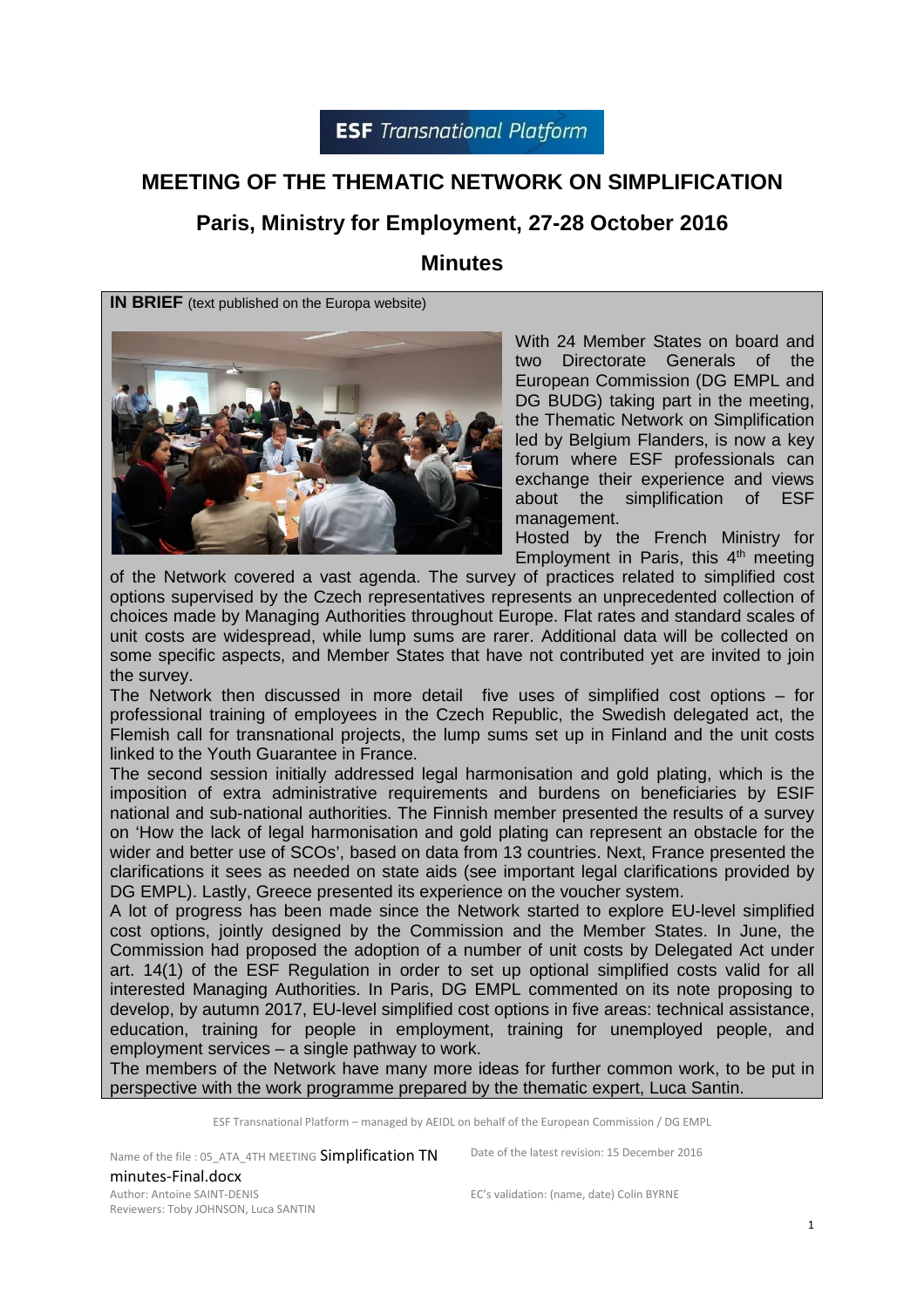# **MEETING OF THE THEMATIC NETWORK ON SIMPLIFICATION**

# **Paris, Ministry for Employment, 27-28 October 2016**

#### **Minutes**

**IN BRIEF** (text published on the Europa website)



With 24 Member States on board and two Directorate Generals of the European Commission (DG EMPL and DG BUDG) taking part in the meeting, the Thematic Network on Simplification led by Belgium Flanders, is now a key forum where ESF professionals can exchange their experience and views about the simplification of ESF management.

Hosted by the French Ministry for Employment in Paris, this  $4<sup>th</sup>$  meeting

of the Network covered a vast agenda. The survey of practices related to simplified cost options supervised by the Czech representatives represents an unprecedented collection of choices made by Managing Authorities throughout Europe. Flat rates and standard scales of unit costs are widespread, while lump sums are rarer. Additional data will be collected on some specific aspects, and Member States that have not contributed yet are invited to join the survey.

The Network then discussed in more detail five uses of simplified cost options – for professional training of employees in the Czech Republic, the Swedish delegated act, the Flemish call for transnational projects, the lump sums set up in Finland and the unit costs linked to the Youth Guarantee in France.

The second session initially addressed legal harmonisation and gold plating, which is the imposition of extra administrative requirements and burdens on beneficiaries by ESIF national and sub-national authorities. The Finnish member presented the results of a survey on 'How the lack of legal harmonisation and gold plating can represent an obstacle for the wider and better use of SCOs', based on data from 13 countries. Next, France presented the clarifications it sees as needed on state aids (see important legal clarifications provided by DG EMPL). Lastly, Greece presented its experience on the voucher system.

A lot of progress has been made since the Network started to explore EU-level simplified cost options, jointly designed by the Commission and the Member States. In June, the Commission had proposed the adoption of a number of unit costs by Delegated Act under art. 14(1) of the ESF Regulation in order to set up optional simplified costs valid for all interested Managing Authorities. In Paris, DG EMPL commented on its note proposing to develop, by autumn 2017, EU-level simplified cost options in five areas: technical assistance, education, training for people in employment, training for unemployed people, and employment services – a single pathway to work.

The members of the Network have many more ideas for further common work, to be put in perspective with the work programme prepared by the thematic expert, Luca Santin.

ESF Transnational Platform – managed by AEIDL on behalf of the European Commission / DG EMPL

Name of the file : 05\_ATA\_4TH MEETING Simplification TN minutes-Final.docx Author: Antoine SAINT-DENIS Reviewers: Toby JOHNSON, Luca SANTIN

Date of the latest revision: 15 December 2016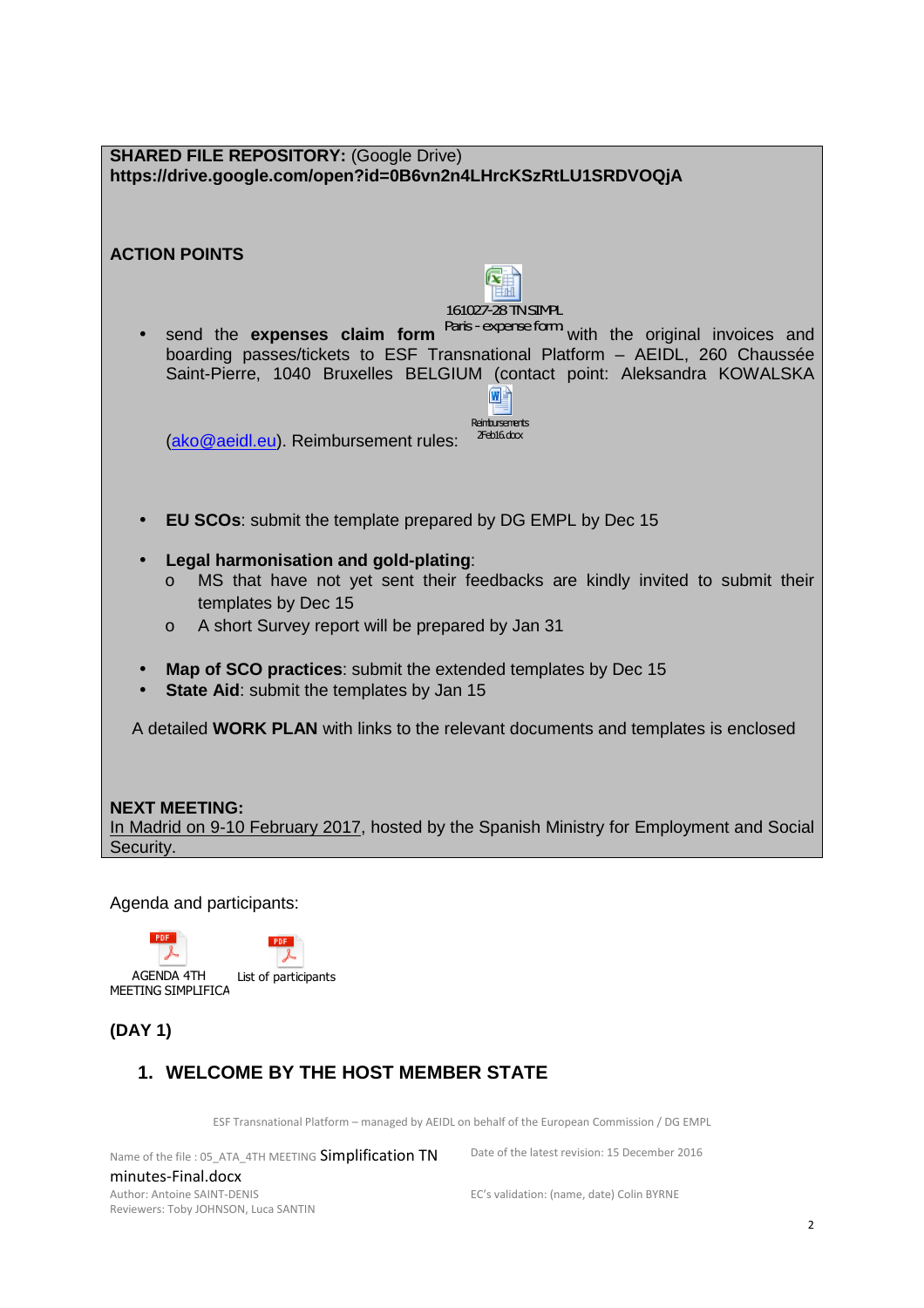| <b>SHARED FILE REPOSITORY: (Google Drive)</b><br>https://drive.google.com/open?id=0B6vn2n4LHrcKSzRtLU1SRDVOQjA                                                                                                                               |
|----------------------------------------------------------------------------------------------------------------------------------------------------------------------------------------------------------------------------------------------|
|                                                                                                                                                                                                                                              |
| <b>ACTION POINTS</b>                                                                                                                                                                                                                         |
| 161027-28 TN SIMPL                                                                                                                                                                                                                           |
| Paris-expense form with the original invoices and<br>send the expenses claim form<br>boarding passes/tickets to ESF Transnational Platform - AEIDL, 260 Chaussée<br>Saint-Pierre, 1040 Bruxelles BELGIUM (contact point: Aleksandra KOWALSKA |
| Reinbursements<br>$2Feb16, d\alpha x$<br>(ako@aeidl.eu). Reimbursement rules:                                                                                                                                                                |
| <b>EU SCOs:</b> submit the template prepared by DG EMPL by Dec 15<br>$\bullet$                                                                                                                                                               |
| Legal harmonisation and gold-plating:<br>$\bullet$<br>MS that have not yet sent their feedbacks are kindly invited to submit their<br>$\circ$<br>templates by Dec 15<br>A short Survey report will be prepared by Jan 31<br>$\circ$          |
| Map of SCO practices: submit the extended templates by Dec 15<br>$\bullet$<br>State Aid: submit the templates by Jan 15                                                                                                                      |
| A detailed WORK PLAN with links to the relevant documents and templates is enclosed                                                                                                                                                          |
| <b>NEXT MEETING:</b><br>In Madrid on 9-10 February 2017, hosted by the Spanish Ministry for Employment and Social<br>Security.                                                                                                               |
|                                                                                                                                                                                                                                              |
| Agenda and participants:                                                                                                                                                                                                                     |
| PDF<br><b>PDF</b><br><b>AGENDA 4TH</b><br>List of participants<br>MEETING SIMPLIFICA                                                                                                                                                         |

# **(DAY 1)**

# **1. WELCOME BY THE HOST MEMBER STATE**

ESF Transnational Platform – managed by AEIDL on behalf of the European Commission / DG EMPL

Name of the file : 05\_ATA\_4TH MEETING Simplification TN minutes-Final.docx

Date of the latest revision: 15 December 2016

Author: Antoine SAINT-DENIS Reviewers: Toby JOHNSON, Luca SANTIN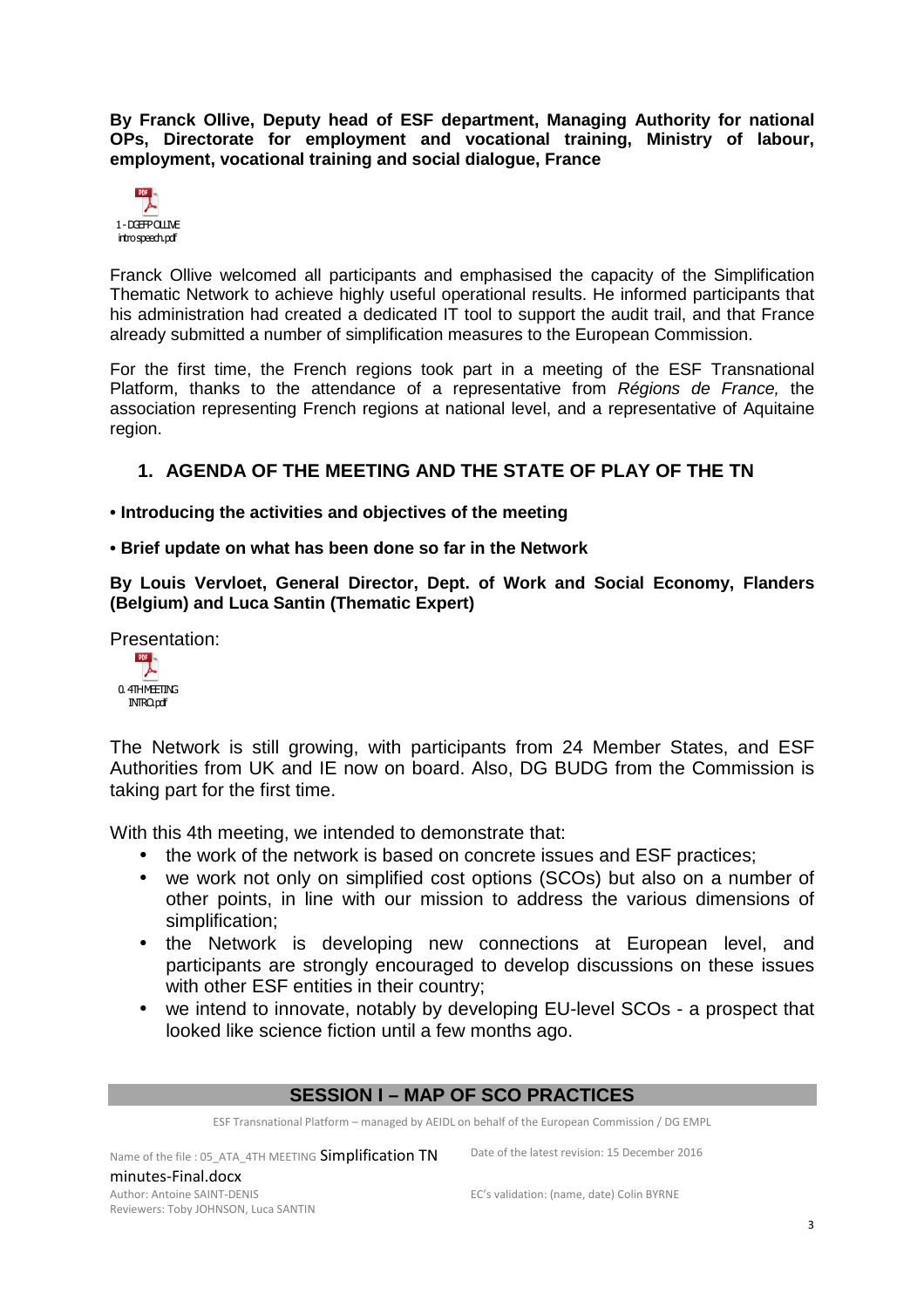**By Franck Ollive, Deputy head of ESF department, Managing Authority for national OPs, Directorate for employment and vocational training, Ministry of labour, employment, vocational training and social dialogue, France** 

| POF             |
|-----------------|
| 1-DOEFPOLINE    |
| introspeech.pdf |

Franck Ollive welcomed all participants and emphasised the capacity of the Simplification Thematic Network to achieve highly useful operational results. He informed participants that his administration had created a dedicated IT tool to support the audit trail, and that France already submitted a number of simplification measures to the European Commission.

For the first time, the French regions took part in a meeting of the ESF Transnational Platform, thanks to the attendance of a representative from Régions de France, the association representing French regions at national level, and a representative of Aquitaine region.

#### **1. AGENDA OF THE MEETING AND THE STATE OF PLAY OF THE TN**

**• Introducing the activities and objectives of the meeting** 

**• Brief update on what has been done so far in the Network** 

**By Louis Vervloet, General Director, Dept. of Work and Social Economy, Flanders (Belgium) and Luca Santin (Thematic Expert)** 

Presentation:

| <b>PDF</b>                      |
|---------------------------------|
| 0.4THMETING<br><b>INTRO.pdf</b> |

The Network is still growing, with participants from 24 Member States, and ESF Authorities from UK and IE now on board. Also, DG BUDG from the Commission is taking part for the first time.

With this 4th meeting, we intended to demonstrate that:

- the work of the network is based on concrete issues and ESF practices;
- we work not only on simplified cost options (SCOs) but also on a number of other points, in line with our mission to address the various dimensions of simplification;
- the Network is developing new connections at European level, and participants are strongly encouraged to develop discussions on these issues with other ESF entities in their country;
- we intend to innovate, notably by developing EU-level SCOs a prospect that looked like science fiction until a few months ago.

#### **SESSION I – MAP OF SCO PRACTICES**

ESF Transnational Platform – managed by AEIDL on behalf of the European Commission / DG EMPL

Name of the file : 05\_ATA\_4TH MEETING Simplification TN minutes-Final.docx Author: Antoine SAINT-DENIS Reviewers: Toby JOHNSON, Luca SANTIN

Date of the latest revision: 15 December 2016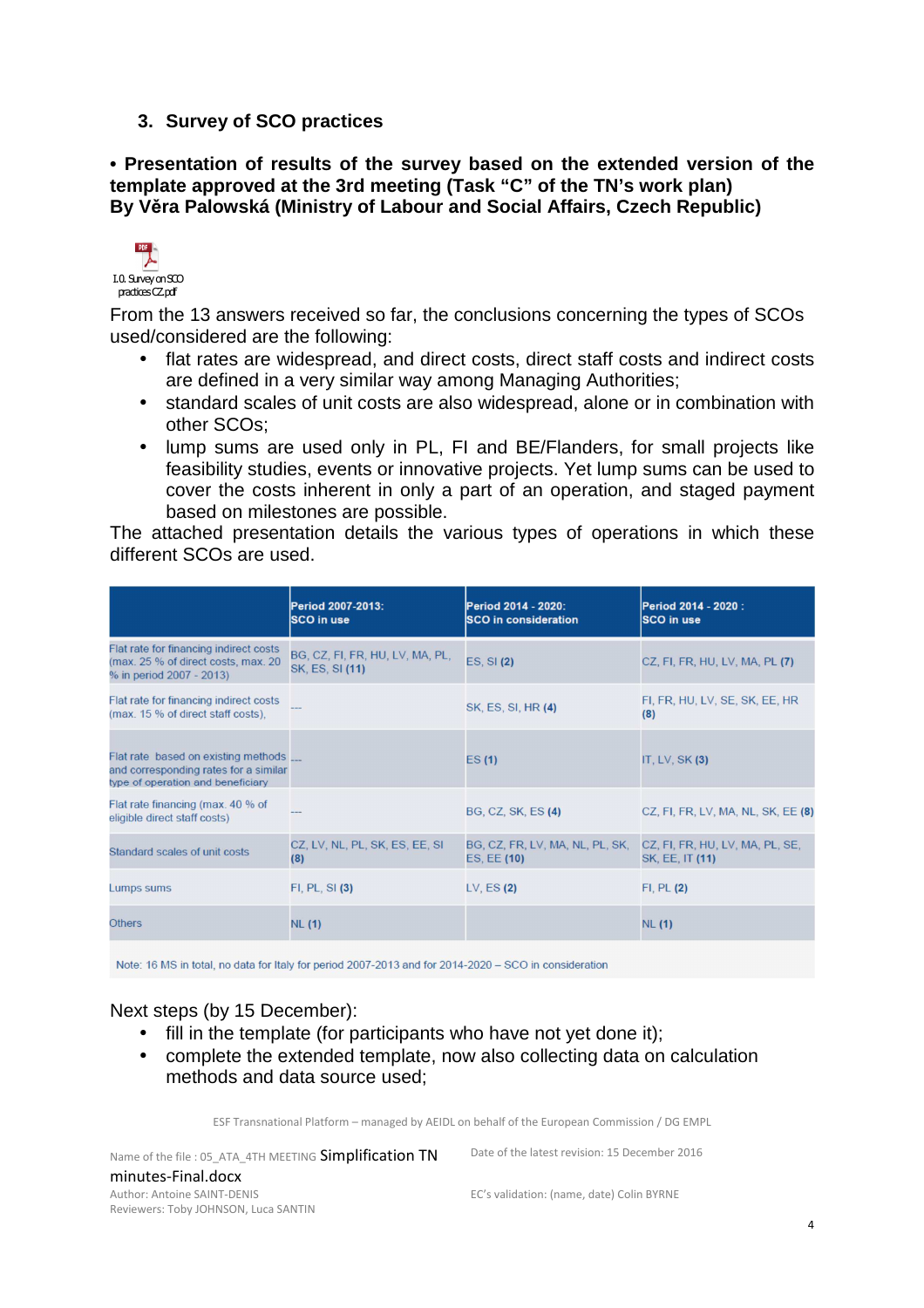#### **3. Survey of SCO practices**

**• Presentation of results of the survey based on the extended version of the template approved at the 3rd meeting (Task "C" of the TN's work plan) By Věra Palowská (Ministry of Labour and Social Affairs, Czech Republic)** 



From the 13 answers received so far, the conclusions concerning the types of SCOs used/considered are the following:

- flat rates are widespread, and direct costs, direct staff costs and indirect costs are defined in a very similar way among Managing Authorities;
- standard scales of unit costs are also widespread, alone or in combination with other SCOs;
- lump sums are used only in PL, FI and BE/Flanders, for small projects like feasibility studies, events or innovative projects. Yet lump sums can be used to cover the costs inherent in only a part of an operation, and staged payment based on milestones are possible.

The attached presentation details the various types of operations in which these different SCOs are used.

|                                                                                                                       | Period 2007-2013:<br><b>SCO</b> in use             | Period 2014 - 2020:<br><b>SCO in consideration</b> | Period 2014 - 2020 :<br><b>SCO</b> in use          |
|-----------------------------------------------------------------------------------------------------------------------|----------------------------------------------------|----------------------------------------------------|----------------------------------------------------|
| Flat rate for financing indirect costs<br>(max. 25 % of direct costs, max. 20<br>% in period 2007 - 2013)             | BG, CZ, FI, FR, HU, LV, MA, PL,<br>SK, ES, SI (11) | ES, SI (2)                                         | CZ, FI, FR, HU, LV, MA, PL (7)                     |
| Flat rate for financing indirect costs<br>(max. 15 % of direct staff costs).                                          |                                                    | SK, ES, SI, HR (4)                                 | FI, FR, HU, LV, SE, SK, EE, HR<br>(8)              |
| Flat rate based on existing methods ___<br>and corresponding rates for a similar<br>type of operation and beneficiary |                                                    | ES(1)                                              | IT, $LV$ , SK $(3)$                                |
| Flat rate financing (max. 40 % of<br>eligible direct staff costs)                                                     |                                                    | BG, CZ, SK, ES (4)                                 | CZ, FI, FR, LV, MA, NL, SK, EE (8)                 |
| Standard scales of unit costs                                                                                         | CZ, LV, NL, PL, SK, ES, EE, SI<br>(8)              | BG, CZ, FR, LV, MA, NL, PL, SK,<br>ES, EE (10)     | CZ, FI, FR, HU, LV, MA, PL, SE,<br>SK, EE, IT (11) |
| <b>Lumps sums</b>                                                                                                     | $FI, PL, SI$ $(3)$                                 | LV, $ES(2)$                                        | $FI$ , $PL(2)$                                     |
| <b>Others</b>                                                                                                         | <b>NL (1)</b>                                      |                                                    | <b>NL</b> (1)                                      |

Note: 16 MS in total, no data for Italy for period 2007-2013 and for 2014-2020 - SCO in consideration

#### Next steps (by 15 December):

- fill in the template (for participants who have not vet done it):
- complete the extended template, now also collecting data on calculation methods and data source used;

ESF Transnational Platform – managed by AEIDL on behalf of the European Commission / DG EMPL

Name of the file : 05\_ATA\_4TH MEETING Simplification TN minutes-Final.docx Author: Antoine SAINT-DENIS Reviewers: Toby JOHNSON, Luca SANTIN

Date of the latest revision: 15 December 2016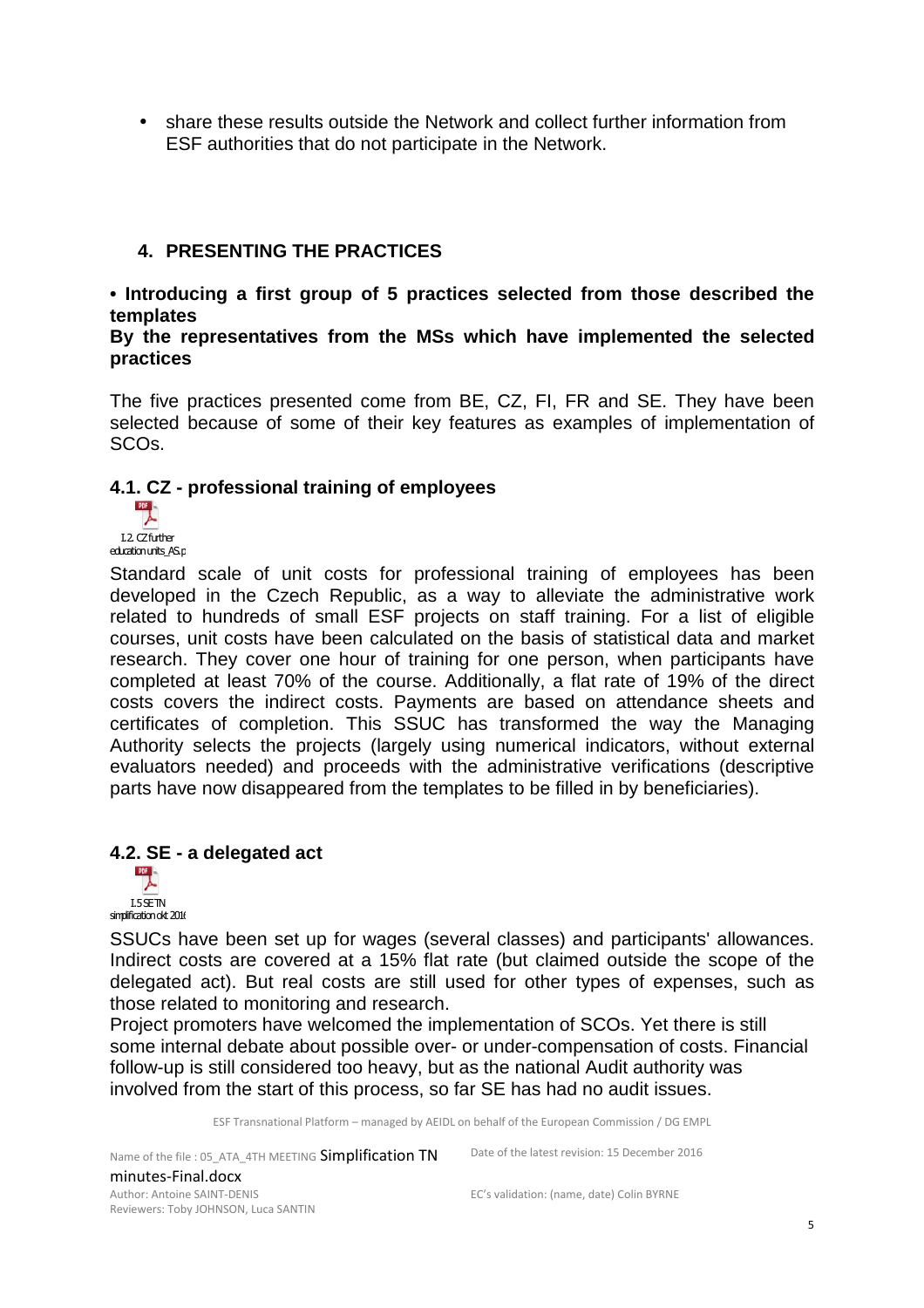• share these results outside the Network and collect further information from ESF authorities that do not participate in the Network.

#### **4. PRESENTING THE PRACTICES**

**• Introducing a first group of 5 practices selected from those described the templates** 

**By the representatives from the MSs which have implemented the selected practices** 

The five practices presented come from BE, CZ, FI, FR and SE. They have been selected because of some of their key features as examples of implementation of SCOs.

#### **4.1. CZ - professional training of employees**



education units AS.p

Standard scale of unit costs for professional training of employees has been developed in the Czech Republic, as a way to alleviate the administrative work related to hundreds of small ESF projects on staff training. For a list of eligible courses, unit costs have been calculated on the basis of statistical data and market research. They cover one hour of training for one person, when participants have completed at least 70% of the course. Additionally, a flat rate of 19% of the direct costs covers the indirect costs. Payments are based on attendance sheets and certificates of completion. This SSUC has transformed the way the Managing Authority selects the projects (largely using numerical indicators, without external evaluators needed) and proceeds with the administrative verifications (descriptive parts have now disappeared from the templates to be filled in by beneficiaries).

# **4.2. SE - a delegated act**



SSUCs have been set up for wages (several classes) and participants' allowances. Indirect costs are covered at a 15% flat rate (but claimed outside the scope of the delegated act). But real costs are still used for other types of expenses, such as those related to monitoring and research.

Project promoters have welcomed the implementation of SCOs. Yet there is still some internal debate about possible over- or under-compensation of costs. Financial follow-up is still considered too heavy, but as the national Audit authority was involved from the start of this process, so far SE has had no audit issues.

ESF Transnational Platform – managed by AEIDL on behalf of the European Commission / DG EMPL

Name of the file : 05\_ATA\_4TH MEETING Simplification TN minutes-Final.docx Author: Antoine SAINT-DENIS Reviewers: Toby JOHNSON, Luca SANTIN

Date of the latest revision: 15 December 2016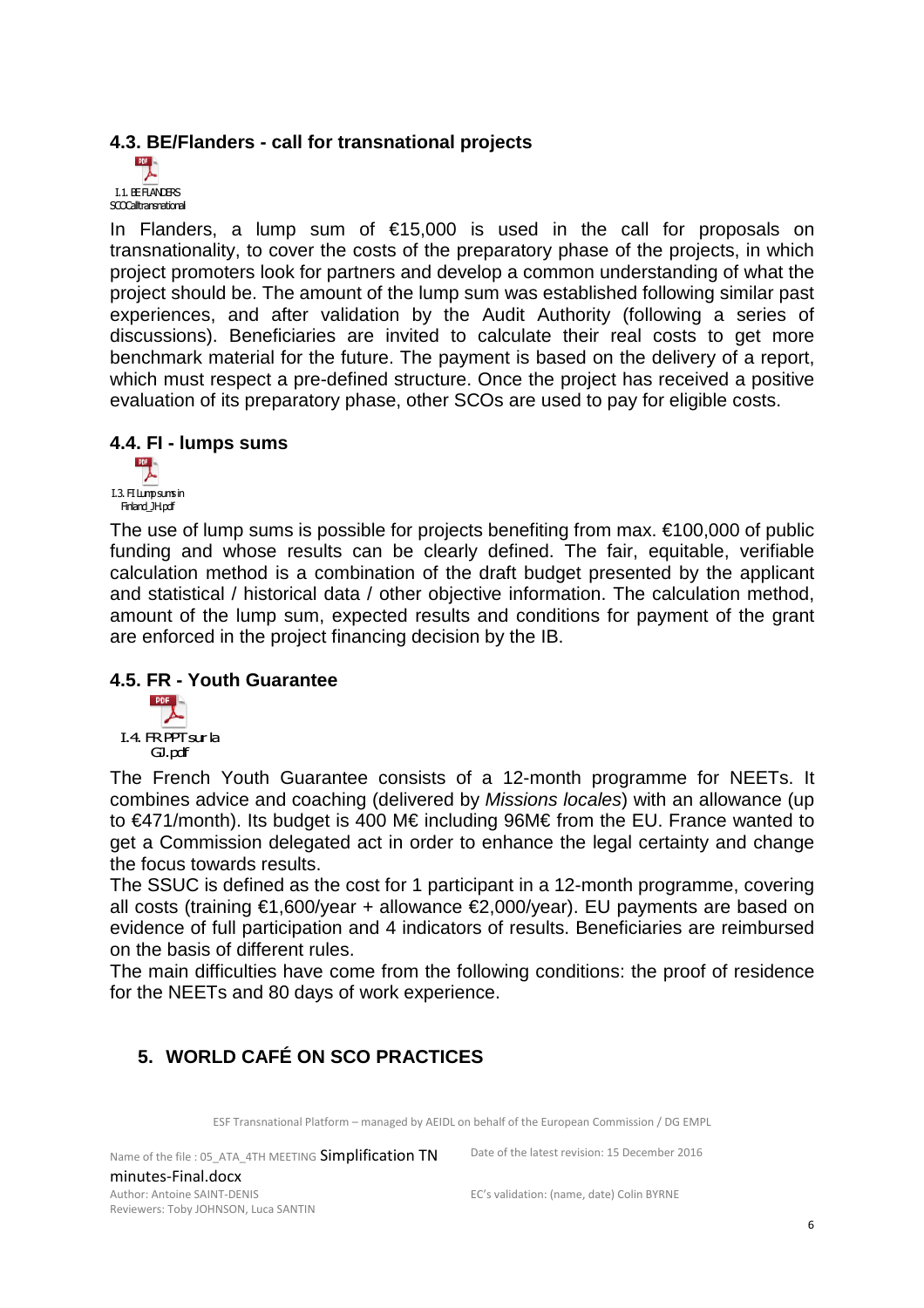#### **4.3. BE/Flanders - call for transnational projects**



In Flanders, a lump sum of  $£15,000$  is used in the call for proposals on transnationality, to cover the costs of the preparatory phase of the projects, in which project promoters look for partners and develop a common understanding of what the project should be. The amount of the lump sum was established following similar past experiences, and after validation by the Audit Authority (following a series of discussions). Beneficiaries are invited to calculate their real costs to get more benchmark material for the future. The payment is based on the delivery of a report, which must respect a pre-defined structure. Once the project has received a positive evaluation of its preparatory phase, other SCOs are used to pay for eligible costs.

# **4.4. FI - lumps sums**



The use of lump sums is possible for projects benefiting from max.  $\epsilon$ 100,000 of public funding and whose results can be clearly defined. The fair, equitable, verifiable calculation method is a combination of the draft budget presented by the applicant and statistical / historical data / other objective information. The calculation method, amount of the lump sum, expected results and conditions for payment of the grant are enforced in the project financing decision by the IB.

#### **4.5. FR - Youth Guarantee**



The French Youth Guarantee consists of a 12-month programme for NEETs. It combines advice and coaching (delivered by Missions locales) with an allowance (up to €471/month). Its budget is 400 M€ including 96M€ from the EU. France wanted to get a Commission delegated act in order to enhance the legal certainty and change the focus towards results.

The SSUC is defined as the cost for 1 participant in a 12-month programme, covering all costs (training €1,600/year + allowance €2,000/year). EU payments are based on evidence of full participation and 4 indicators of results. Beneficiaries are reimbursed on the basis of different rules.

The main difficulties have come from the following conditions: the proof of residence for the NEETs and 80 days of work experience.

# **5. WORLD CAFÉ ON SCO PRACTICES**

ESF Transnational Platform – managed by AEIDL on behalf of the European Commission / DG EMPL

Name of the file : 05\_ATA\_4TH MEETING Simplification TN minutes-Final.docx Author: Antoine SAINT-DENIS Reviewers: Toby JOHNSON, Luca SANTIN

Date of the latest revision: 15 December 2016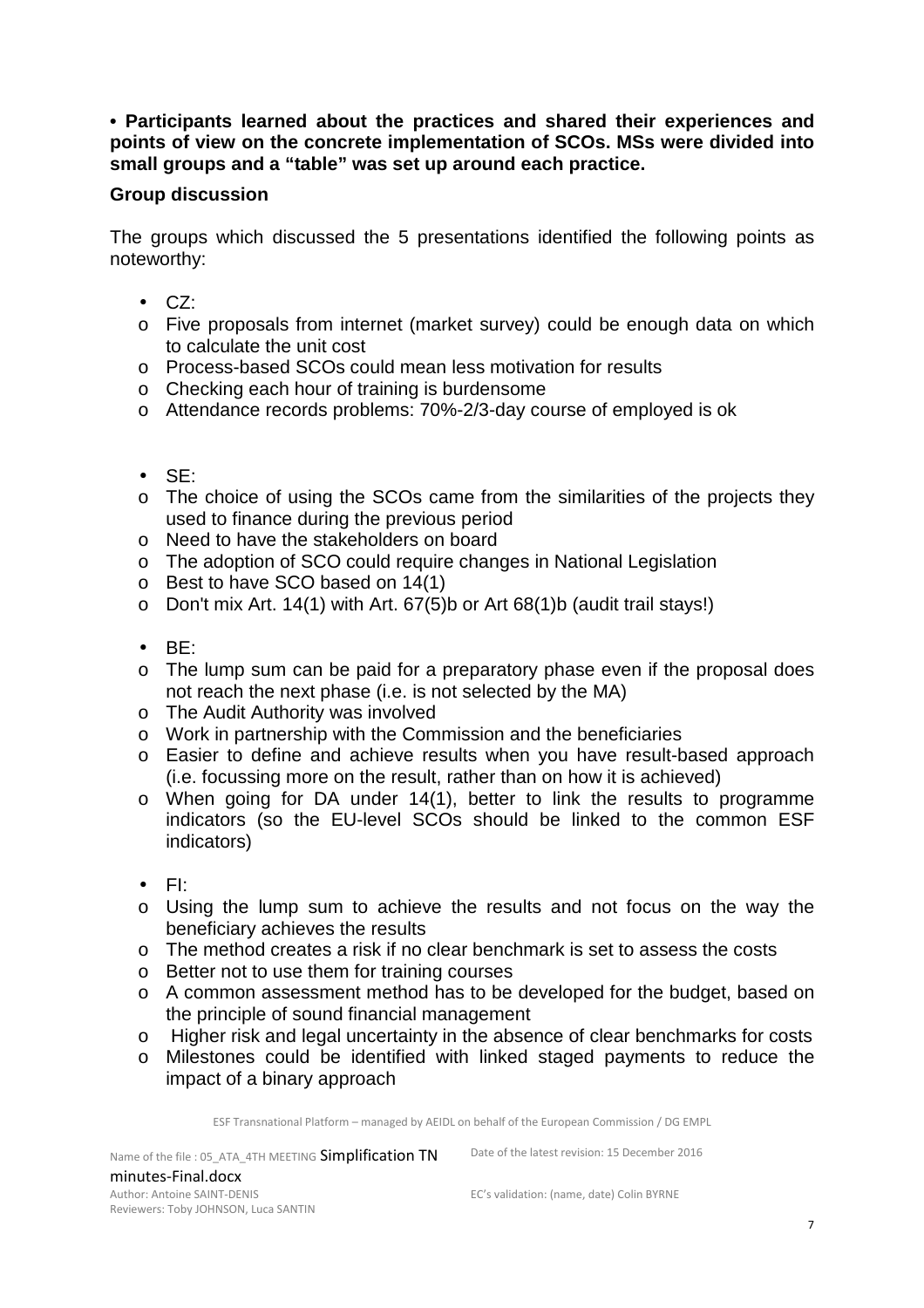#### **• Participants learned about the practices and shared their experiences and points of view on the concrete implementation of SCOs. MSs were divided into small groups and a "table" was set up around each practice.**

#### **Group discussion**

The groups which discussed the 5 presentations identified the following points as noteworthy:

- CZ:
- o Five proposals from internet (market survey) could be enough data on which to calculate the unit cost
- o Process-based SCOs could mean less motivation for results
- o Checking each hour of training is burdensome
- o Attendance records problems: 70%-2/3-day course of employed is ok
- SE:
- o The choice of using the SCOs came from the similarities of the projects they used to finance during the previous period
- o Need to have the stakeholders on board
- o The adoption of SCO could require changes in National Legislation
- o Best to have SCO based on 14(1)
- $\circ$  Don't mix Art. 14(1) with Art. 67(5)b or Art 68(1)b (audit trail stays!)
- BE:
- o The lump sum can be paid for a preparatory phase even if the proposal does not reach the next phase (i.e. is not selected by the MA)
- o The Audit Authority was involved
- o Work in partnership with the Commission and the beneficiaries
- o Easier to define and achieve results when you have result-based approach (i.e. focussing more on the result, rather than on how it is achieved)
- o When going for DA under 14(1), better to link the results to programme indicators (so the EU-level SCOs should be linked to the common ESF indicators)
- FI:
- o Using the lump sum to achieve the results and not focus on the way the beneficiary achieves the results
- o The method creates a risk if no clear benchmark is set to assess the costs
- o Better not to use them for training courses
- o A common assessment method has to be developed for the budget, based on the principle of sound financial management
- o Higher risk and legal uncertainty in the absence of clear benchmarks for costs
- o Milestones could be identified with linked staged payments to reduce the impact of a binary approach

ESF Transnational Platform – managed by AEIDL on behalf of the European Commission / DG EMPL

Name of the file : 05\_ATA\_4TH MEETING Simplification TN minutes-Final.docx Author: Antoine SAINT-DENIS Reviewers: Toby JOHNSON, Luca SANTIN

Date of the latest revision: 15 December 2016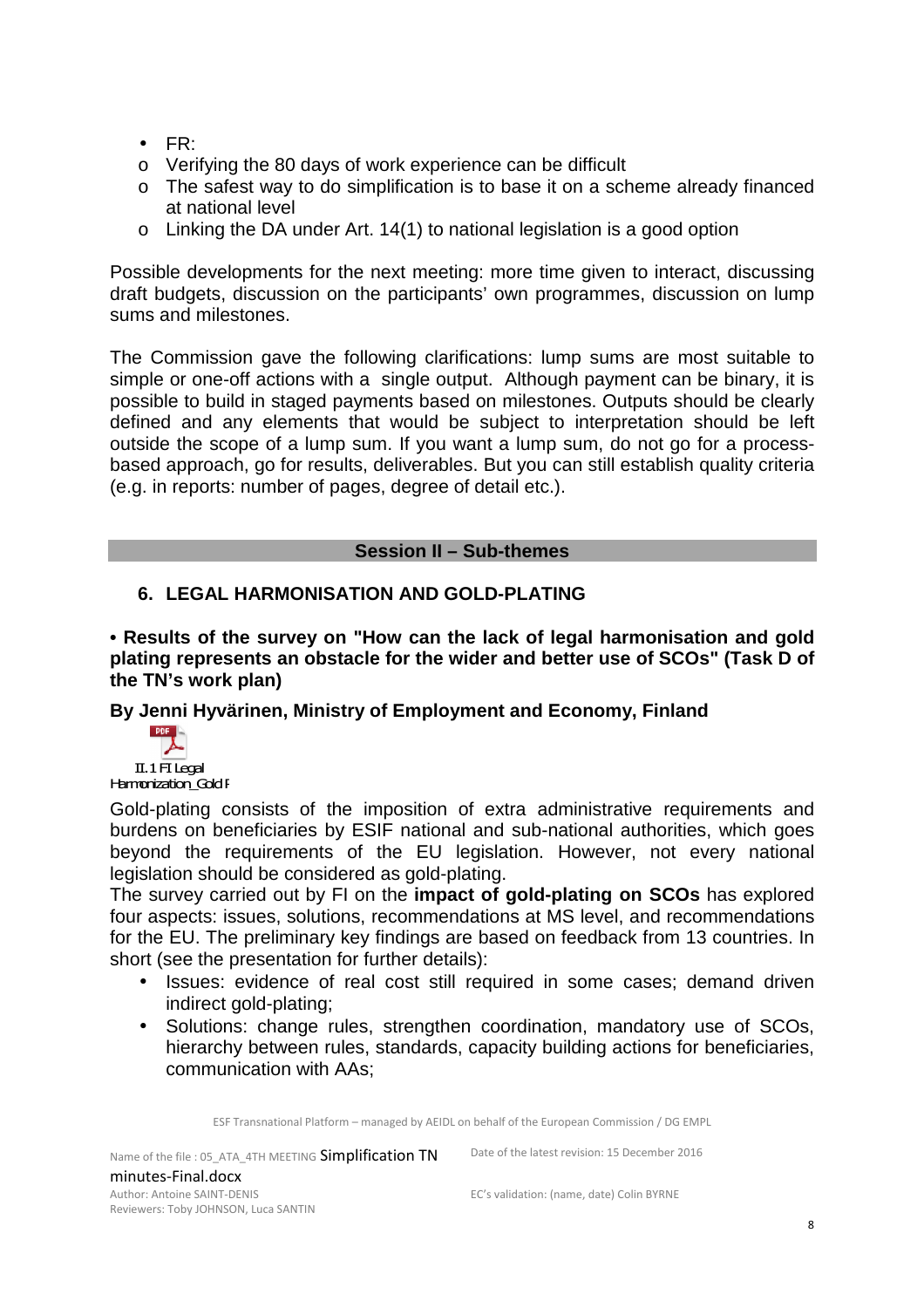- FR:
- o Verifying the 80 days of work experience can be difficult
- o The safest way to do simplification is to base it on a scheme already financed at national level
- o Linking the DA under Art. 14(1) to national legislation is a good option

Possible developments for the next meeting: more time given to interact, discussing draft budgets, discussion on the participants' own programmes, discussion on lump sums and milestones.

The Commission gave the following clarifications: lump sums are most suitable to simple or one-off actions with a single output. Although payment can be binary, it is possible to build in staged payments based on milestones. Outputs should be clearly defined and any elements that would be subject to interpretation should be left outside the scope of a lump sum. If you want a lump sum, do not go for a processbased approach, go for results, deliverables. But you can still establish quality criteria (e.g. in reports: number of pages, degree of detail etc.).

#### **Session II – Sub-themes**

#### **6. LEGAL HARMONISATION AND GOLD-PLATING**

**• Results of the survey on "How can the lack of legal harmonisation and gold plating represents an obstacle for the wider and better use of SCOs" (Task D of the TN's work plan)** 

**By Jenni Hyvärinen, Ministry of Employment and Economy, Finland** 



Gold-plating consists of the imposition of extra administrative requirements and burdens on beneficiaries by ESIF national and sub-national authorities, which goes beyond the requirements of the EU legislation. However, not every national legislation should be considered as gold-plating.

The survey carried out by FI on the **impact of gold-plating on SCOs** has explored four aspects: issues, solutions, recommendations at MS level, and recommendations for the EU. The preliminary key findings are based on feedback from 13 countries. In short (see the presentation for further details):

- Issues: evidence of real cost still required in some cases; demand driven indirect gold-plating;
- Solutions: change rules, strengthen coordination, mandatory use of SCOs, hierarchy between rules, standards, capacity building actions for beneficiaries, communication with AAs;

ESF Transnational Platform – managed by AEIDL on behalf of the European Commission / DG EMPL

Name of the file : 05\_ATA\_4TH MEETING Simplification TN minutes-Final.docx Author: Antoine SAINT-DENIS Reviewers: Toby JOHNSON, Luca SANTIN

Date of the latest revision: 15 December 2016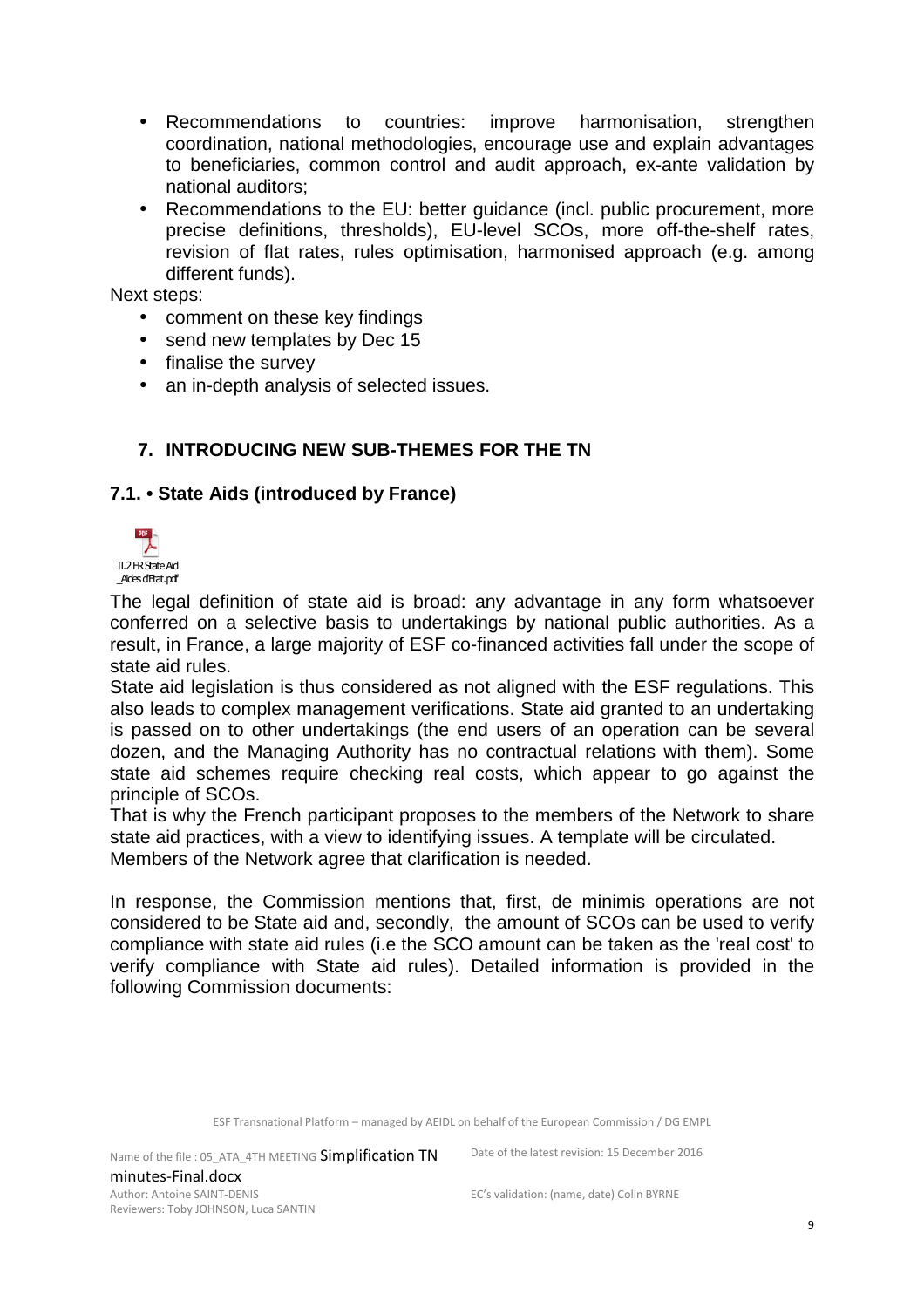- Recommendations to countries: improve harmonisation, strengthen coordination, national methodologies, encourage use and explain advantages to beneficiaries, common control and audit approach, ex-ante validation by national auditors;
- Recommendations to the EU: better guidance (incl. public procurement, more precise definitions, thresholds), EU-level SCOs, more off-the-shelf rates, revision of flat rates, rules optimisation, harmonised approach (e.g. among different funds).

Next steps:

- comment on these key findings
- send new templates by Dec 15
- finalise the survey
- an in-depth analysis of selected issues.

#### **7. INTRODUCING NEW SUB-THEMES FOR THE TN**

#### **7.1. • State Aids (introduced by France)**



The legal definition of state aid is broad: any advantage in any form whatsoever conferred on a selective basis to undertakings by national public authorities. As a result, in France, a large majority of ESF co-financed activities fall under the scope of state aid rules.

State aid legislation is thus considered as not aligned with the ESF regulations. This also leads to complex management verifications. State aid granted to an undertaking is passed on to other undertakings (the end users of an operation can be several dozen, and the Managing Authority has no contractual relations with them). Some state aid schemes require checking real costs, which appear to go against the principle of SCOs.

That is why the French participant proposes to the members of the Network to share state aid practices, with a view to identifying issues. A template will be circulated. Members of the Network agree that clarification is needed.

In response, the Commission mentions that, first, de minimis operations are not considered to be State aid and, secondly, the amount of SCOs can be used to verify compliance with state aid rules (i.e the SCO amount can be taken as the 'real cost' to verify compliance with State aid rules). Detailed information is provided in the following Commission documents:

ESF Transnational Platform – managed by AEIDL on behalf of the European Commission / DG EMPL

Name of the file : 05\_ATA\_4TH MEETING Simplification TN minutes-Final.docx Author: Antoine SAINT-DENIS Reviewers: Toby JOHNSON, Luca SANTIN

Date of the latest revision: 15 December 2016 EC's validation: (name, date) Colin BYRNE

9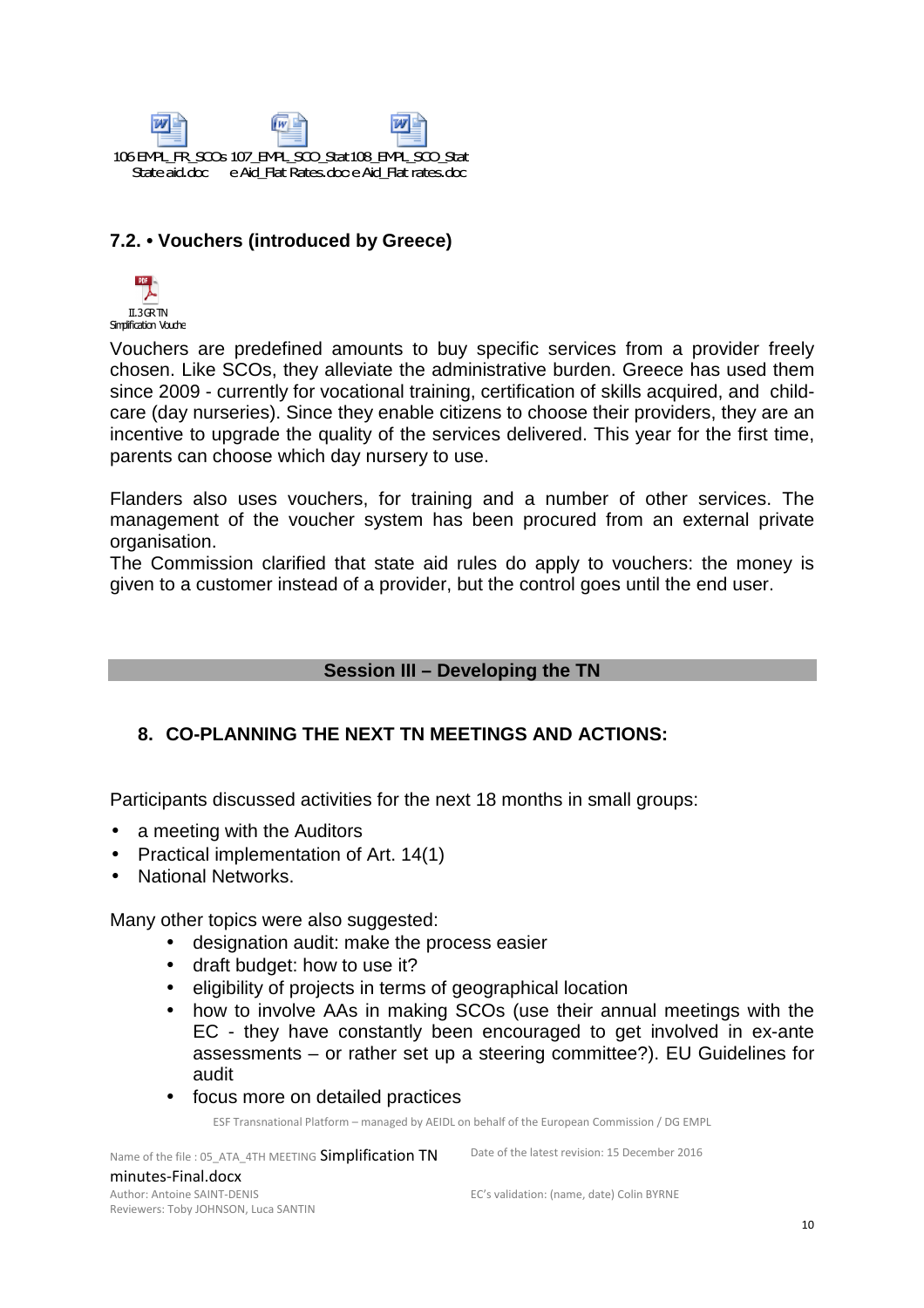

#### **7.2. • Vouchers (introduced by Greece)**



Vouchers are predefined amounts to buy specific services from a provider freely chosen. Like SCOs, they alleviate the administrative burden. Greece has used them since 2009 - currently for vocational training, certification of skills acquired, and childcare (day nurseries). Since they enable citizens to choose their providers, they are an incentive to upgrade the quality of the services delivered. This year for the first time, parents can choose which day nursery to use.

Flanders also uses vouchers, for training and a number of other services. The management of the voucher system has been procured from an external private organisation.

The Commission clarified that state aid rules do apply to vouchers: the money is given to a customer instead of a provider, but the control goes until the end user.

#### **Session III – Developing the TN**

#### **8. CO-PLANNING THE NEXT TN MEETINGS AND ACTIONS:**

Participants discussed activities for the next 18 months in small groups:

- a meeting with the Auditors
- Practical implementation of Art. 14(1)
- National Networks.

Many other topics were also suggested:

- designation audit: make the process easier
- draft budget: how to use it?
- eligibility of projects in terms of geographical location
- how to involve AAs in making SCOs (use their annual meetings with the EC - they have constantly been encouraged to get involved in ex-ante assessments – or rather set up a steering committee?). EU Guidelines for audit
- focus more on detailed practices

ESF Transnational Platform – managed by AEIDL on behalf of the European Commission / DG EMPL

Name of the file : 05\_ATA\_4TH MEETING Simplification TN minutes-Final.docx Author: Antoine SAINT-DENIS Reviewers: Toby JOHNSON, Luca SANTIN

Date of the latest revision: 15 December 2016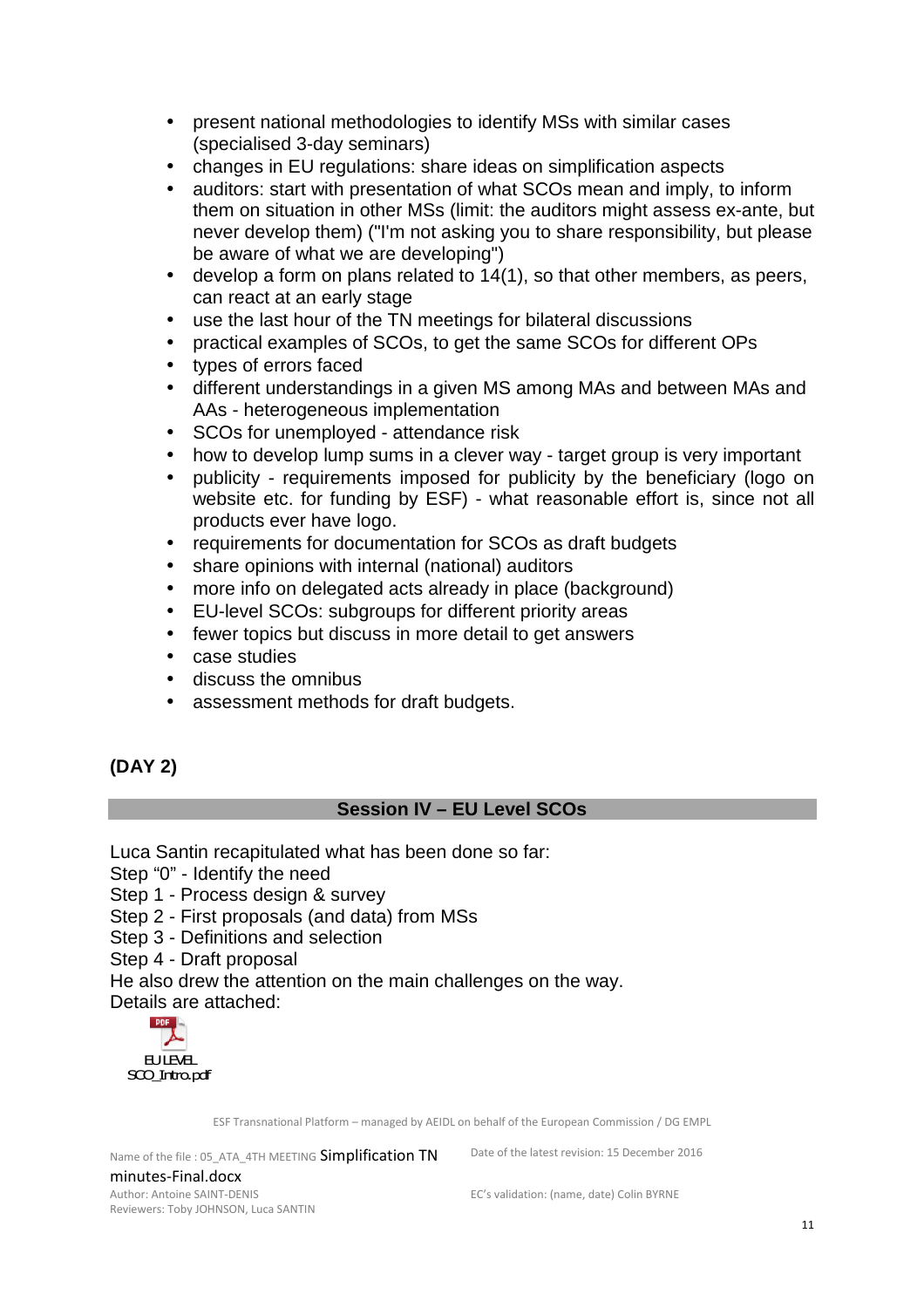- present national methodologies to identify MSs with similar cases (specialised 3-day seminars)
- changes in EU regulations: share ideas on simplification aspects
- auditors: start with presentation of what SCOs mean and imply, to inform them on situation in other MSs (limit: the auditors might assess ex-ante, but never develop them) ("I'm not asking you to share responsibility, but please be aware of what we are developing")
- develop a form on plans related to 14(1), so that other members, as peers, can react at an early stage
- use the last hour of the TN meetings for bilateral discussions
- practical examples of SCOs, to get the same SCOs for different OPs
- types of errors faced
- different understandings in a given MS among MAs and between MAs and AAs - heterogeneous implementation
- SCOs for unemployed attendance risk
- how to develop lump sums in a clever way target group is very important
- publicity requirements imposed for publicity by the beneficiary (logo on website etc. for funding by ESF) - what reasonable effort is, since not all products ever have logo.
- requirements for documentation for SCOs as draft budgets
- share opinions with internal (national) auditors
- more info on delegated acts already in place (background)
- EU-level SCOs: subgroups for different priority areas
- fewer topics but discuss in more detail to get answers
- case studies
- discuss the omnibus
- assessment methods for draft budgets.

# **(DAY 2)**

#### **Session IV – EU Level SCOs**

Luca Santin recapitulated what has been done so far:

Step "0" - Identify the need

Step 1 - Process design & survey

Step 2 - First proposals (and data) from MSs

Step 3 - Definitions and selection

Step 4 - Draft proposal

He also drew the attention on the main challenges on the way.

Details are attached:



ESF Transnational Platform – managed by AEIDL on behalf of the European Commission / DG EMPL

Name of the file : 05\_ATA\_4TH MEETING Simplification TN minutes-Final.docx Author: Antoine SAINT-DENIS Reviewers: Toby JOHNSON, Luca SANTIN

Date of the latest revision: 15 December 2016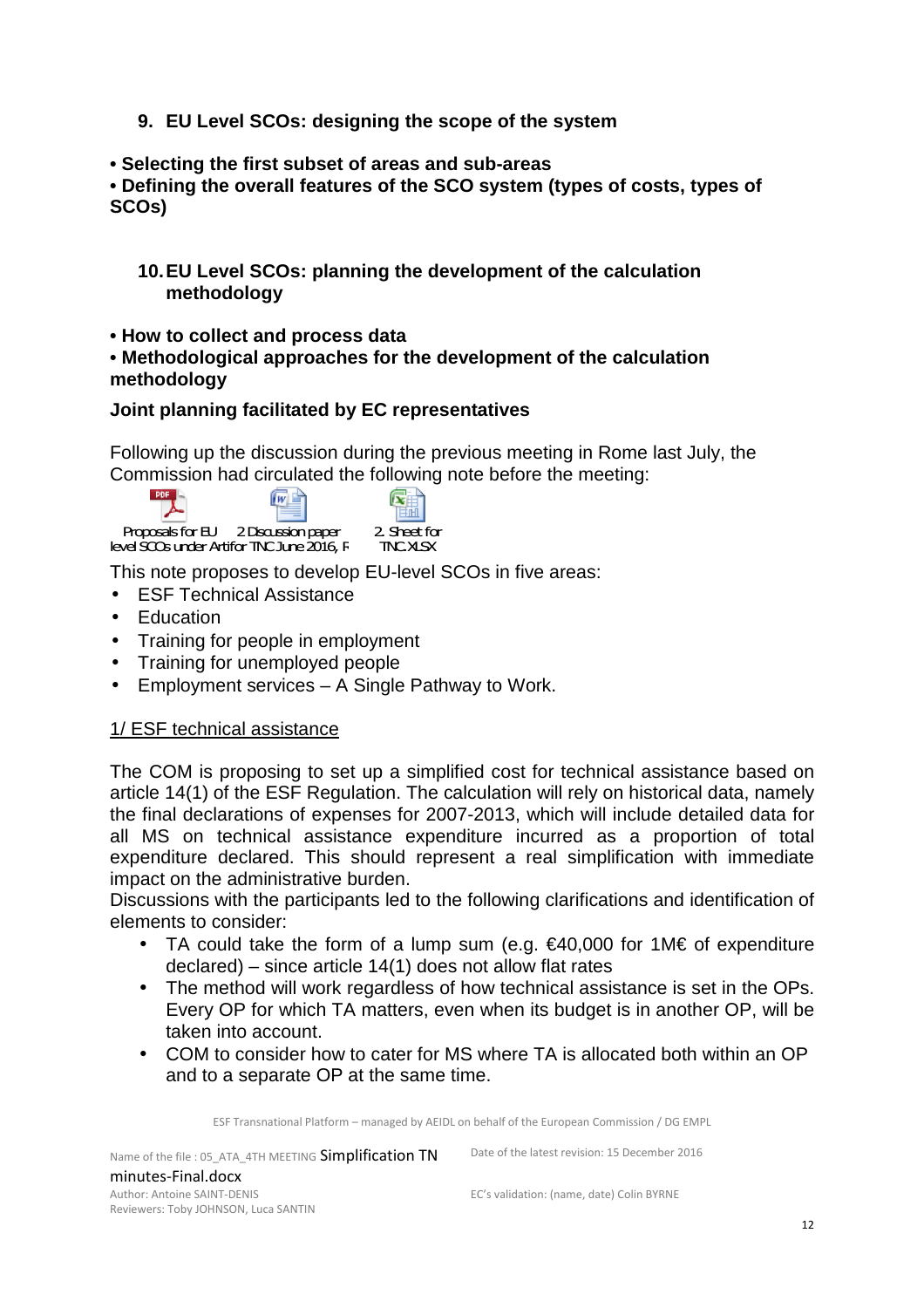- **9. EU Level SCOs: designing the scope of the system**
- **Selecting the first subset of areas and sub-areas**

**• Defining the overall features of the SCO system (types of costs, types of SCOs)** 

- **10. EU Level SCOs: planning the development of the calculation methodology**
- **How to collect and process data**

#### **• Methodological approaches for the development of the calculation methodology**

#### **Joint planning facilitated by EC representatives**

Following up the discussion during the previous meeting in Rome last July, the Commission had circulated the following note before the meeting:

 $POF$  $\sqrt{W}$ Proposals for EU 2 Discussion paper 2. Sheet for  $level$  SCOs under Artifor TNC June 2016,  $F$  TNC TNC.XLSX

This note proposes to develop EU-level SCOs in five areas:

- ESF Technical Assistance
- Education
- Training for people in employment
- Training for unemployed people
- Employment services A Single Pathway to Work.

# 1/ ESF technical assistance

The COM is proposing to set up a simplified cost for technical assistance based on article 14(1) of the ESF Regulation. The calculation will rely on historical data, namely the final declarations of expenses for 2007-2013, which will include detailed data for all MS on technical assistance expenditure incurred as a proportion of total expenditure declared. This should represent a real simplification with immediate impact on the administrative burden.

Discussions with the participants led to the following clarifications and identification of elements to consider:

- TA could take the form of a lump sum (e.g. €40,000 for 1M€ of expenditure declared) – since article 14(1) does not allow flat rates
- The method will work regardless of how technical assistance is set in the OPs. Every OP for which TA matters, even when its budget is in another OP, will be taken into account.
- COM to consider how to cater for MS where TA is allocated both within an OP and to a separate OP at the same time.

ESF Transnational Platform – managed by AEIDL on behalf of the European Commission / DG EMPL

Name of the file : 05\_ATA\_4TH MEETING Simplification TN minutes-Final.docx Author: Antoine SAINT-DENIS Reviewers: Toby JOHNSON, Luca SANTIN

Date of the latest revision: 15 December 2016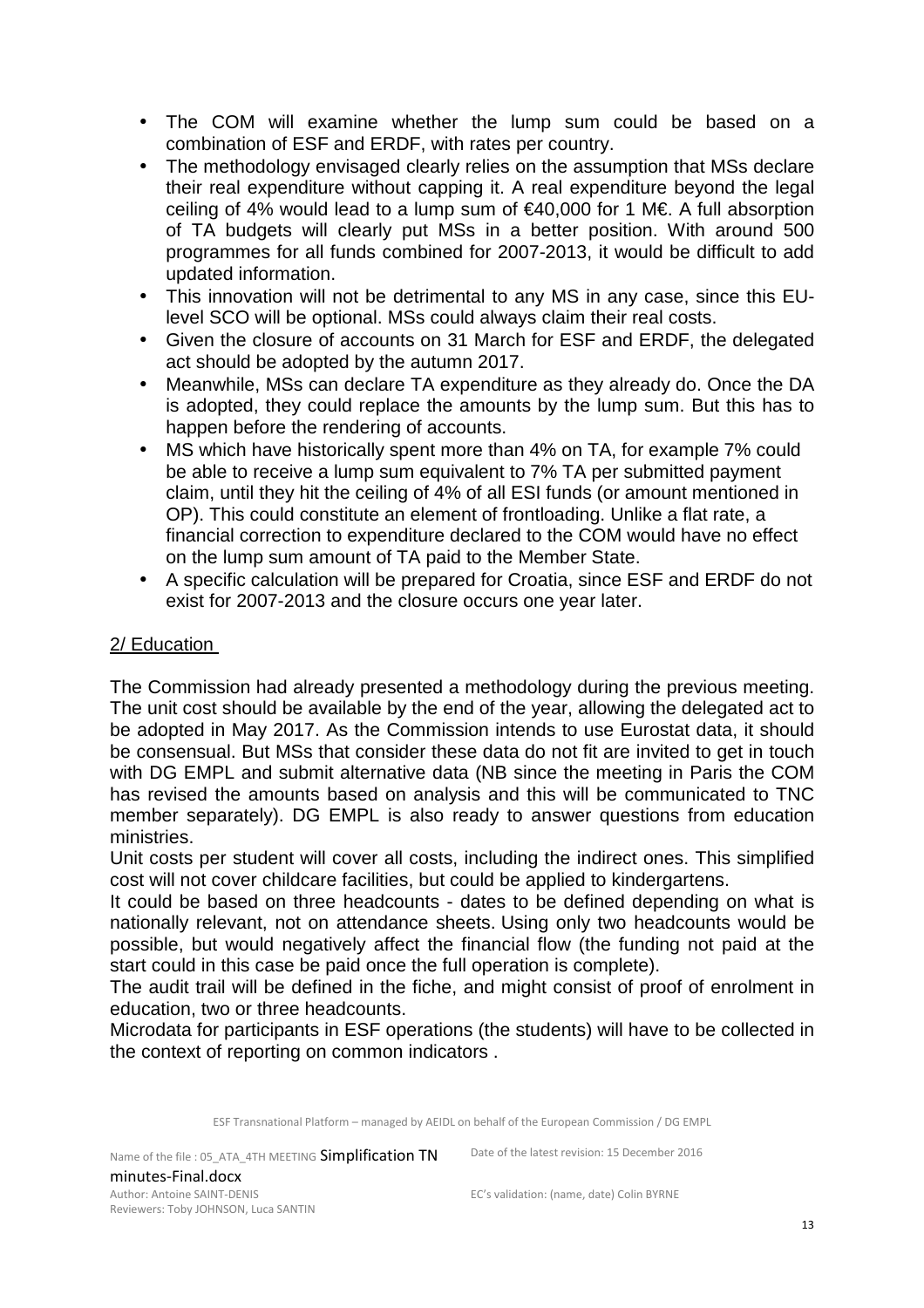- The COM will examine whether the lump sum could be based on a combination of ESF and ERDF, with rates per country.
- The methodology envisaged clearly relies on the assumption that MSs declare their real expenditure without capping it. A real expenditure beyond the legal ceiling of 4% would lead to a lump sum of €40,000 for 1 M€. A full absorption of TA budgets will clearly put MSs in a better position. With around 500 programmes for all funds combined for 2007-2013, it would be difficult to add updated information.
- This innovation will not be detrimental to any MS in any case, since this EUlevel SCO will be optional. MSs could always claim their real costs.
- Given the closure of accounts on 31 March for ESF and ERDF, the delegated act should be adopted by the autumn 2017.
- Meanwhile, MSs can declare TA expenditure as they already do. Once the DA is adopted, they could replace the amounts by the lump sum. But this has to happen before the rendering of accounts.
- MS which have historically spent more than 4% on TA, for example 7% could be able to receive a lump sum equivalent to 7% TA per submitted payment claim, until they hit the ceiling of 4% of all ESI funds (or amount mentioned in OP). This could constitute an element of frontloading. Unlike a flat rate, a financial correction to expenditure declared to the COM would have no effect on the lump sum amount of TA paid to the Member State.
- A specific calculation will be prepared for Croatia, since ESF and ERDF do not exist for 2007-2013 and the closure occurs one year later.

#### 2/ Education

The Commission had already presented a methodology during the previous meeting. The unit cost should be available by the end of the year, allowing the delegated act to be adopted in May 2017. As the Commission intends to use Eurostat data, it should be consensual. But MSs that consider these data do not fit are invited to get in touch with DG EMPL and submit alternative data (NB since the meeting in Paris the COM has revised the amounts based on analysis and this will be communicated to TNC member separately). DG EMPL is also ready to answer questions from education ministries.

Unit costs per student will cover all costs, including the indirect ones. This simplified cost will not cover childcare facilities, but could be applied to kindergartens.

It could be based on three headcounts - dates to be defined depending on what is nationally relevant, not on attendance sheets. Using only two headcounts would be possible, but would negatively affect the financial flow (the funding not paid at the start could in this case be paid once the full operation is complete).

The audit trail will be defined in the fiche, and might consist of proof of enrolment in education, two or three headcounts.

Microdata for participants in ESF operations (the students) will have to be collected in the context of reporting on common indicators .

ESF Transnational Platform – managed by AEIDL on behalf of the European Commission / DG EMPL

Name of the file : 05\_ATA\_4TH MEETING Simplification TN minutes-Final.docx Author: Antoine SAINT-DENIS Reviewers: Toby JOHNSON, Luca SANTIN

Date of the latest revision: 15 December 2016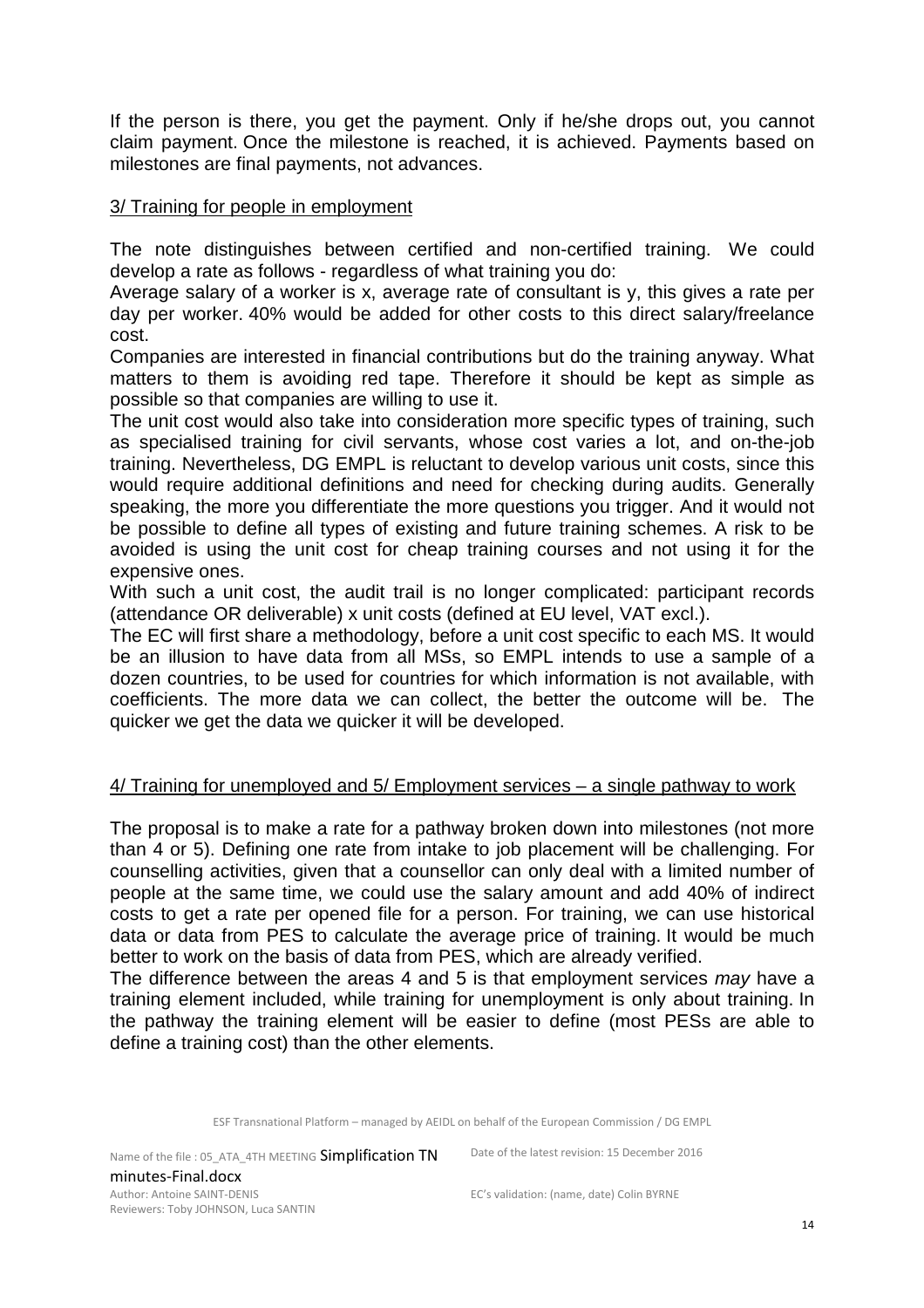If the person is there, you get the payment. Only if he/she drops out, you cannot claim payment. Once the milestone is reached, it is achieved. Payments based on milestones are final payments, not advances.

#### 3/ Training for people in employment

The note distinguishes between certified and non-certified training. We could develop a rate as follows - regardless of what training you do:

Average salary of a worker is x, average rate of consultant is y, this gives a rate per day per worker. 40% would be added for other costs to this direct salary/freelance cost.

Companies are interested in financial contributions but do the training anyway. What matters to them is avoiding red tape. Therefore it should be kept as simple as possible so that companies are willing to use it.

The unit cost would also take into consideration more specific types of training, such as specialised training for civil servants, whose cost varies a lot, and on-the-job training. Nevertheless, DG EMPL is reluctant to develop various unit costs, since this would require additional definitions and need for checking during audits. Generally speaking, the more you differentiate the more questions you trigger. And it would not be possible to define all types of existing and future training schemes. A risk to be avoided is using the unit cost for cheap training courses and not using it for the expensive ones.

With such a unit cost, the audit trail is no longer complicated: participant records (attendance OR deliverable) x unit costs (defined at EU level, VAT excl.).

The EC will first share a methodology, before a unit cost specific to each MS. It would be an illusion to have data from all MSs, so EMPL intends to use a sample of a dozen countries, to be used for countries for which information is not available, with coefficients. The more data we can collect, the better the outcome will be. The quicker we get the data we quicker it will be developed.

#### 4/ Training for unemployed and 5/ Employment services – a single pathway to work

The proposal is to make a rate for a pathway broken down into milestones (not more than 4 or 5). Defining one rate from intake to job placement will be challenging. For counselling activities, given that a counsellor can only deal with a limited number of people at the same time, we could use the salary amount and add 40% of indirect costs to get a rate per opened file for a person. For training, we can use historical data or data from PES to calculate the average price of training. It would be much better to work on the basis of data from PES, which are already verified.

The difference between the areas 4 and 5 is that employment services may have a training element included, while training for unemployment is only about training. In the pathway the training element will be easier to define (most PESs are able to define a training cost) than the other elements.

ESF Transnational Platform – managed by AEIDL on behalf of the European Commission / DG EMPL

Name of the file : 05\_ATA\_4TH MEETING Simplification TN minutes-Final.docx Author: Antoine SAINT-DENIS Reviewers: Toby JOHNSON, Luca SANTIN

Date of the latest revision: 15 December 2016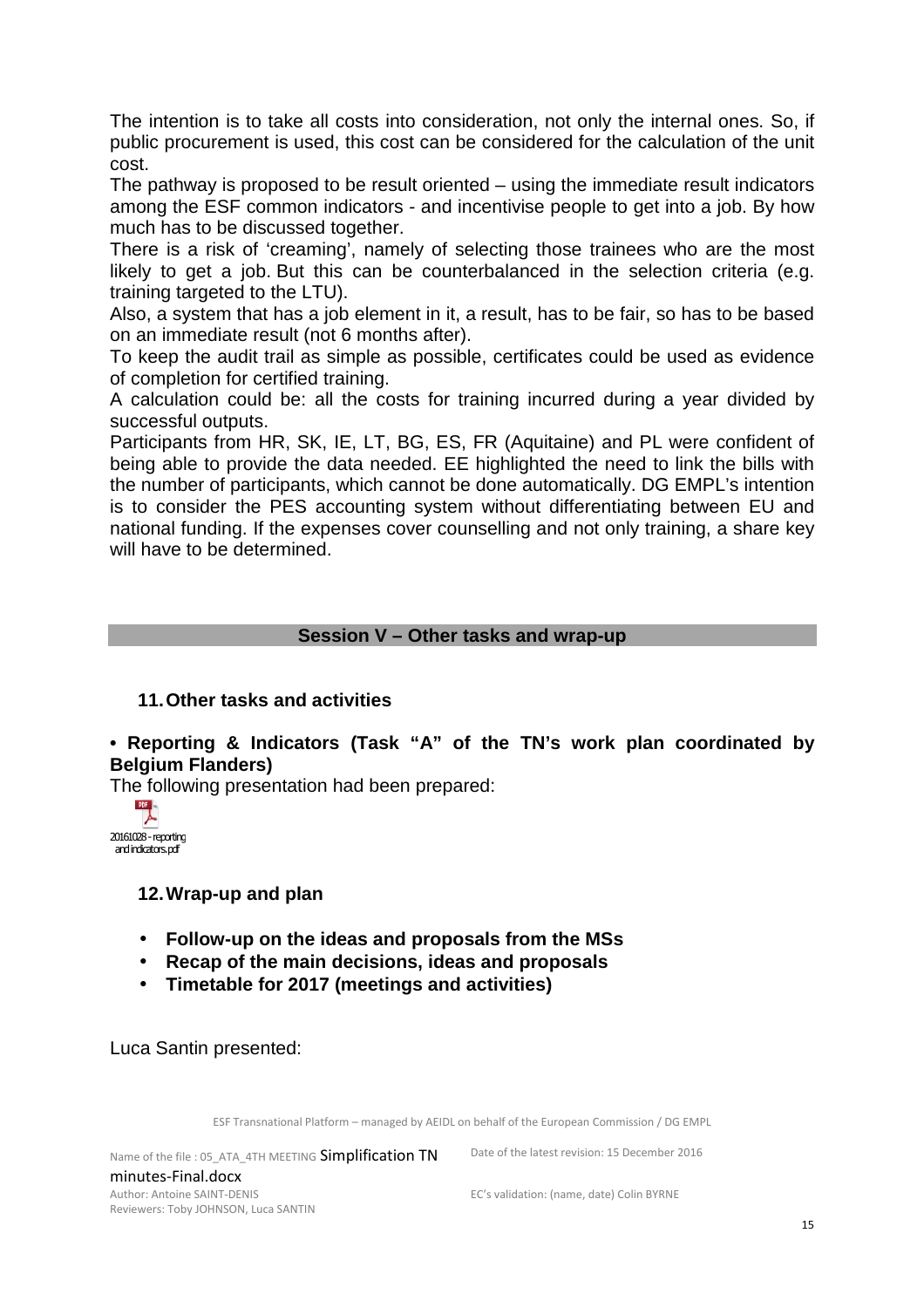The intention is to take all costs into consideration, not only the internal ones. So, if public procurement is used, this cost can be considered for the calculation of the unit cost.

The pathway is proposed to be result oriented – using the immediate result indicators among the ESF common indicators - and incentivise people to get into a job. By how much has to be discussed together.

There is a risk of 'creaming', namely of selecting those trainees who are the most likely to get a job. But this can be counterbalanced in the selection criteria (e.g. training targeted to the LTU).

Also, a system that has a job element in it, a result, has to be fair, so has to be based on an immediate result (not 6 months after).

To keep the audit trail as simple as possible, certificates could be used as evidence of completion for certified training.

A calculation could be: all the costs for training incurred during a year divided by successful outputs.

Participants from HR, SK, IE, LT, BG, ES, FR (Aquitaine) and PL were confident of being able to provide the data needed. EE highlighted the need to link the bills with the number of participants, which cannot be done automatically. DG EMPL's intention is to consider the PES accounting system without differentiating between EU and national funding. If the expenses cover counselling and not only training, a share key will have to be determined.

#### **Session V – Other tasks and wrap-up**

#### **11. Other tasks and activities**

#### **• Reporting & Indicators (Task "A" of the TN's work plan coordinated by Belgium Flanders)**

The following presentation had been prepared:



#### **12. Wrap-up and plan**

- **Follow-up on the ideas and proposals from the MSs**
- **Recap of the main decisions, ideas and proposals**
- **Timetable for 2017 (meetings and activities)**

Luca Santin presented:

ESF Transnational Platform – managed by AEIDL on behalf of the European Commission / DG EMPL

Name of the file : 05\_ATA\_4TH MEETING Simplification TN minutes-Final.docx Author: Antoine SAINT-DENIS Reviewers: Toby JOHNSON, Luca SANTIN

Date of the latest revision: 15 December 2016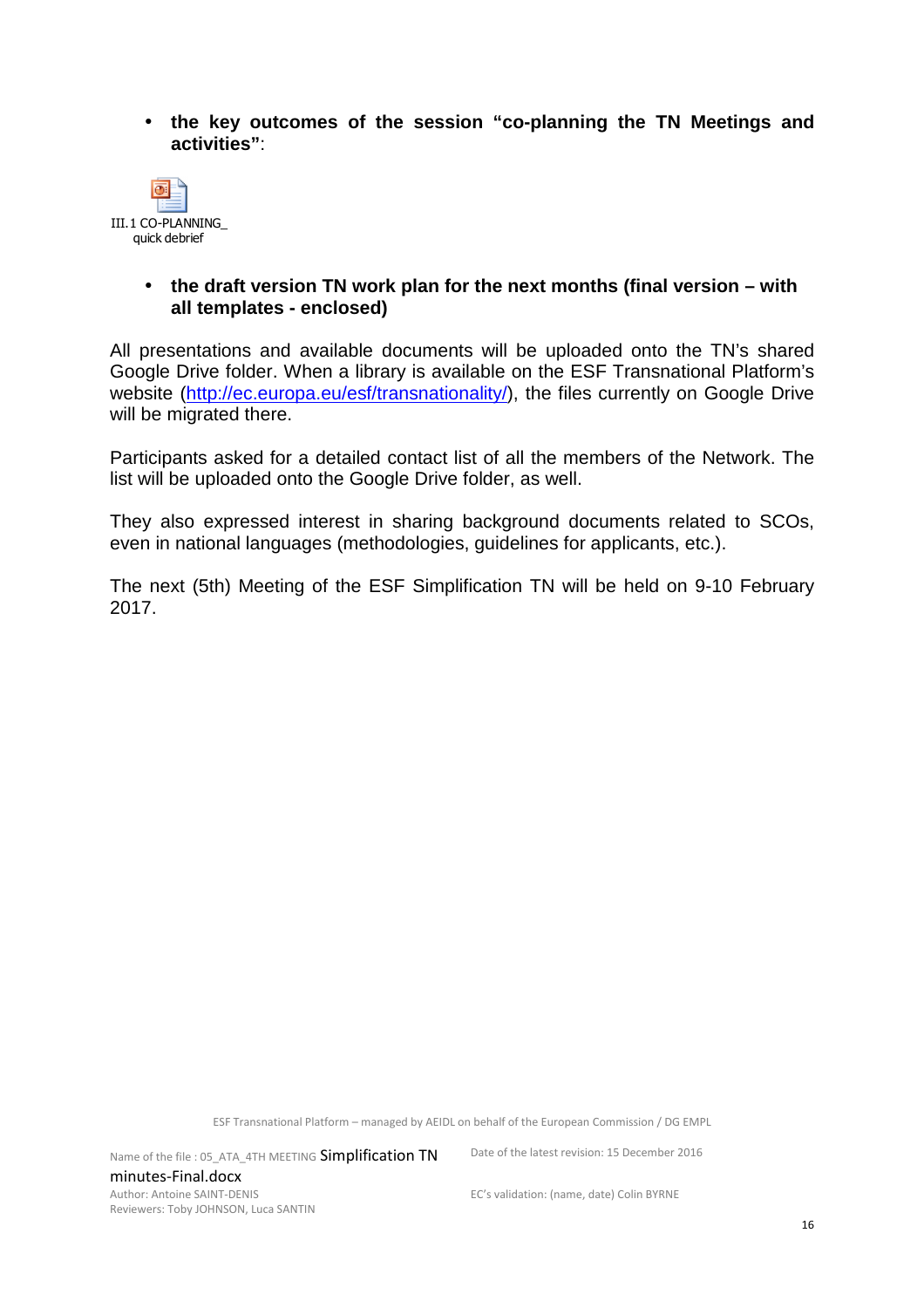• **the key outcomes of the session "co-planning the TN Meetings and activities"**:



#### • **the draft version TN work plan for the next months (final version – with all templates - enclosed)**

All presentations and available documents will be uploaded onto the TN's shared Google Drive folder. When a library is available on the ESF Transnational Platform's website (http://ec.europa.eu/esf/transnationality/), the files currently on Google Drive will be migrated there.

Participants asked for a detailed contact list of all the members of the Network. The list will be uploaded onto the Google Drive folder, as well.

They also expressed interest in sharing background documents related to SCOs, even in national languages (methodologies, guidelines for applicants, etc.).

The next (5th) Meeting of the ESF Simplification TN will be held on 9-10 February 2017.

ESF Transnational Platform – managed by AEIDL on behalf of the European Commission / DG EMPL

Name of the file : 05\_ATA\_4TH MEETING Simplification TN minutes-Final.docx Author: Antoine SAINT-DENIS Reviewers: Toby JOHNSON, Luca SANTIN

Date of the latest revision: 15 December 2016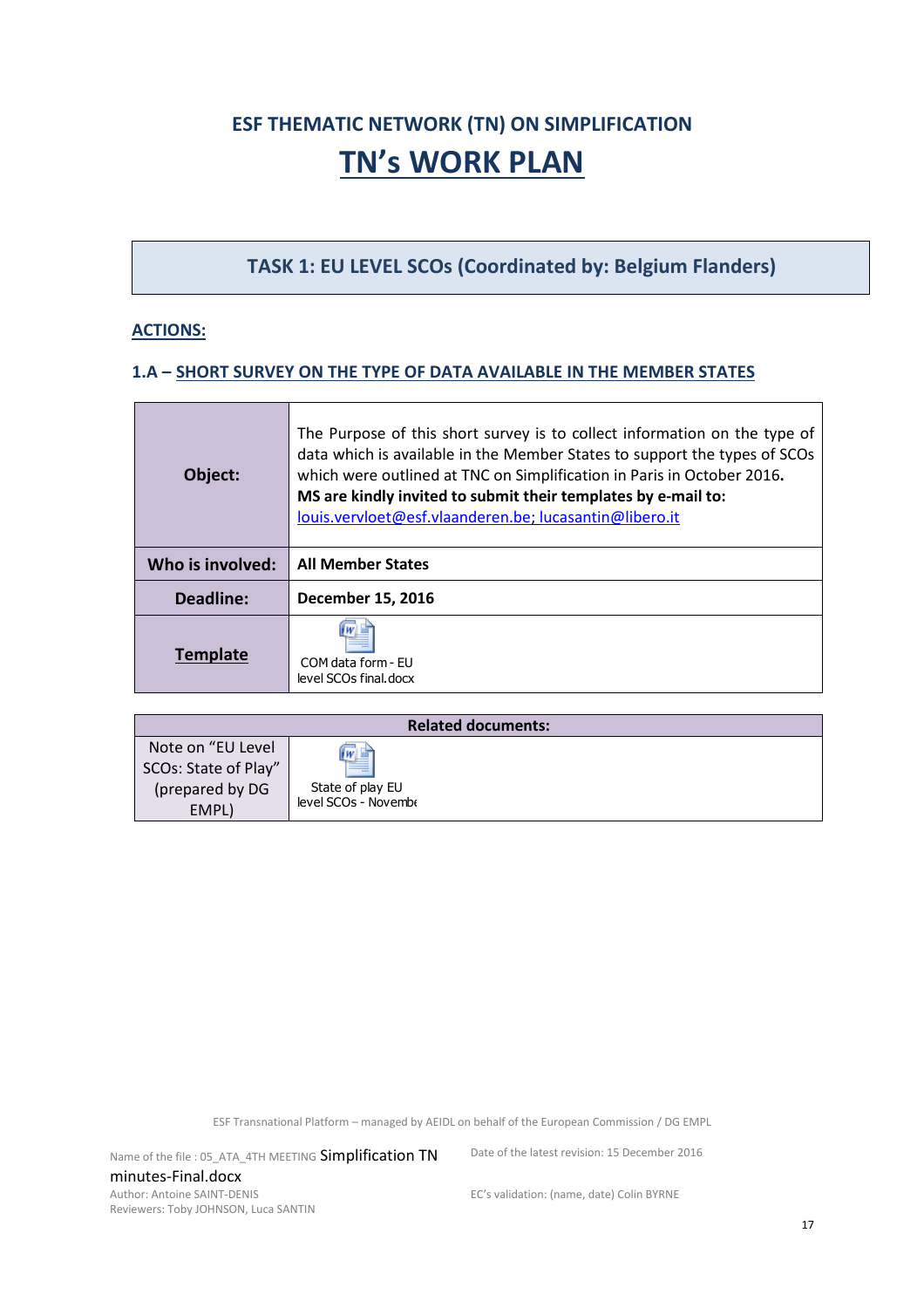# **ESF THEMATIC NETWORK (TN) ON SIMPLIFICATION TN's WORK PLAN**

**TASK 1: EU LEVEL SCOs (Coordinated by: Belgium Flanders)** 

#### **ACTIONS:**

#### **1.A – SHORT SURVEY ON THE TYPE OF DATA AVAILABLE IN THE MEMBER STATES**

| Object:          | The Purpose of this short survey is to collect information on the type of<br>data which is available in the Member States to support the types of SCOs<br>which were outlined at TNC on Simplification in Paris in October 2016.<br>MS are kindly invited to submit their templates by e-mail to:<br>louis.vervloet@esf.vlaanderen.be; lucasantin@libero.it |
|------------------|-------------------------------------------------------------------------------------------------------------------------------------------------------------------------------------------------------------------------------------------------------------------------------------------------------------------------------------------------------------|
|                  |                                                                                                                                                                                                                                                                                                                                                             |
| Who is involved: | <b>All Member States</b>                                                                                                                                                                                                                                                                                                                                    |
| Deadline:        | December 15, 2016                                                                                                                                                                                                                                                                                                                                           |

| <b>Related documents:</b> |                      |  |
|---------------------------|----------------------|--|
| Note on "EU Level         |                      |  |
| SCOs: State of Play"      | $\frac{w}{1}$        |  |
| (prepared by DG           | State of play EU     |  |
| EMPL)                     | level SCOs - Novembe |  |

ESF Transnational Platform – managed by AEIDL on behalf of the European Commission / DG EMPL

Name of the file : 05\_ATA\_4TH MEETING Simplification TN minutes-Final.docx Author: Antoine SAINT-DENIS Reviewers: Toby JOHNSON, Luca SANTIN

Date of the latest revision: 15 December 2016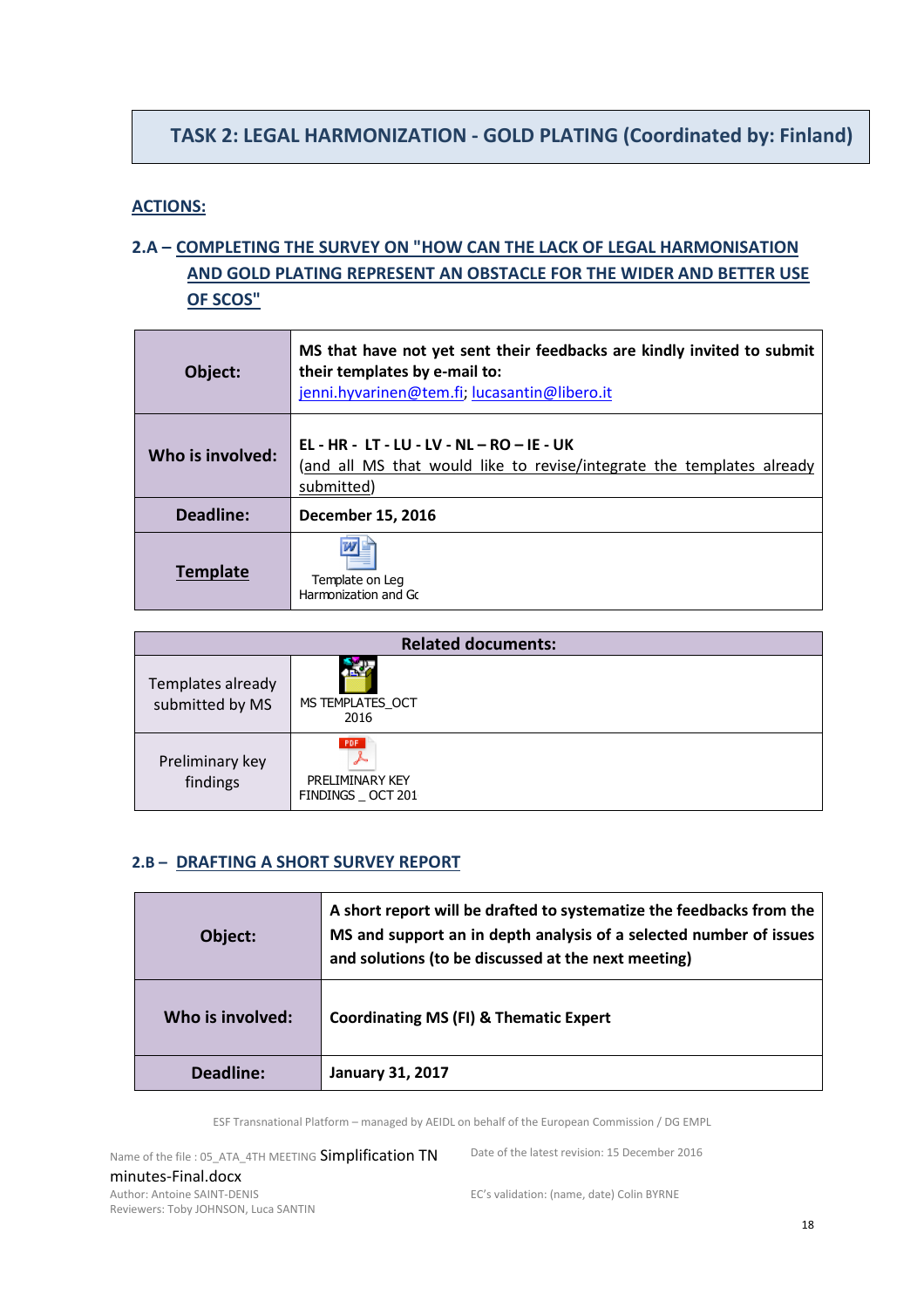# **TASK 2: LEGAL HARMONIZATION - GOLD PLATING (Coordinated by: Finland)**

#### **ACTIONS:**

# **2.A – COMPLETING THE SURVEY ON "HOW CAN THE LACK OF LEGAL HARMONISATION AND GOLD PLATING REPRESENT AN OBSTACLE FOR THE WIDER AND BETTER USE OF SCOS"**

| Object:          | MS that have not yet sent their feedbacks are kindly invited to submit<br>their templates by e-mail to:<br>jenni.hyvarinen@tem.fi; lucasantin@libero.it |
|------------------|---------------------------------------------------------------------------------------------------------------------------------------------------------|
| Who is involved: | EL - HR - LT - LU - LV - NL - RO - IE - UK<br>(and all MS that would like to revise/integrate the templates already<br>submitted)                       |
| Deadline:        | December 15, 2016                                                                                                                                       |
| <b>Template</b>  | Template on Leg<br>Harmonization and Go                                                                                                                 |

| <b>Related documents:</b>            |                                                     |
|--------------------------------------|-----------------------------------------------------|
| Templates already<br>submitted by MS | MS TEMPLATES OCT<br>2016                            |
| Preliminary key<br>findings          | <b>PDF</b><br>PRELIMINARY KEY<br>FINDINGS _ OCT 201 |

#### **2.B – DRAFTING A SHORT SURVEY REPORT**

| Object:          | A short report will be drafted to systematize the feedbacks from the<br>MS and support an in depth analysis of a selected number of issues<br>and solutions (to be discussed at the next meeting) |
|------------------|---------------------------------------------------------------------------------------------------------------------------------------------------------------------------------------------------|
| Who is involved: | <b>Coordinating MS (FI) &amp; Thematic Expert</b>                                                                                                                                                 |
| Deadline:        | <b>January 31, 2017</b>                                                                                                                                                                           |

ESF Transnational Platform – managed by AEIDL on behalf of the European Commission / DG EMPL

Name of the file : 05\_ATA\_4TH MEETING Simplification TN minutes-Final.docx Author: Antoine SAINT-DENIS Reviewers: Toby JOHNSON, Luca SANTIN

Date of the latest revision: 15 December 2016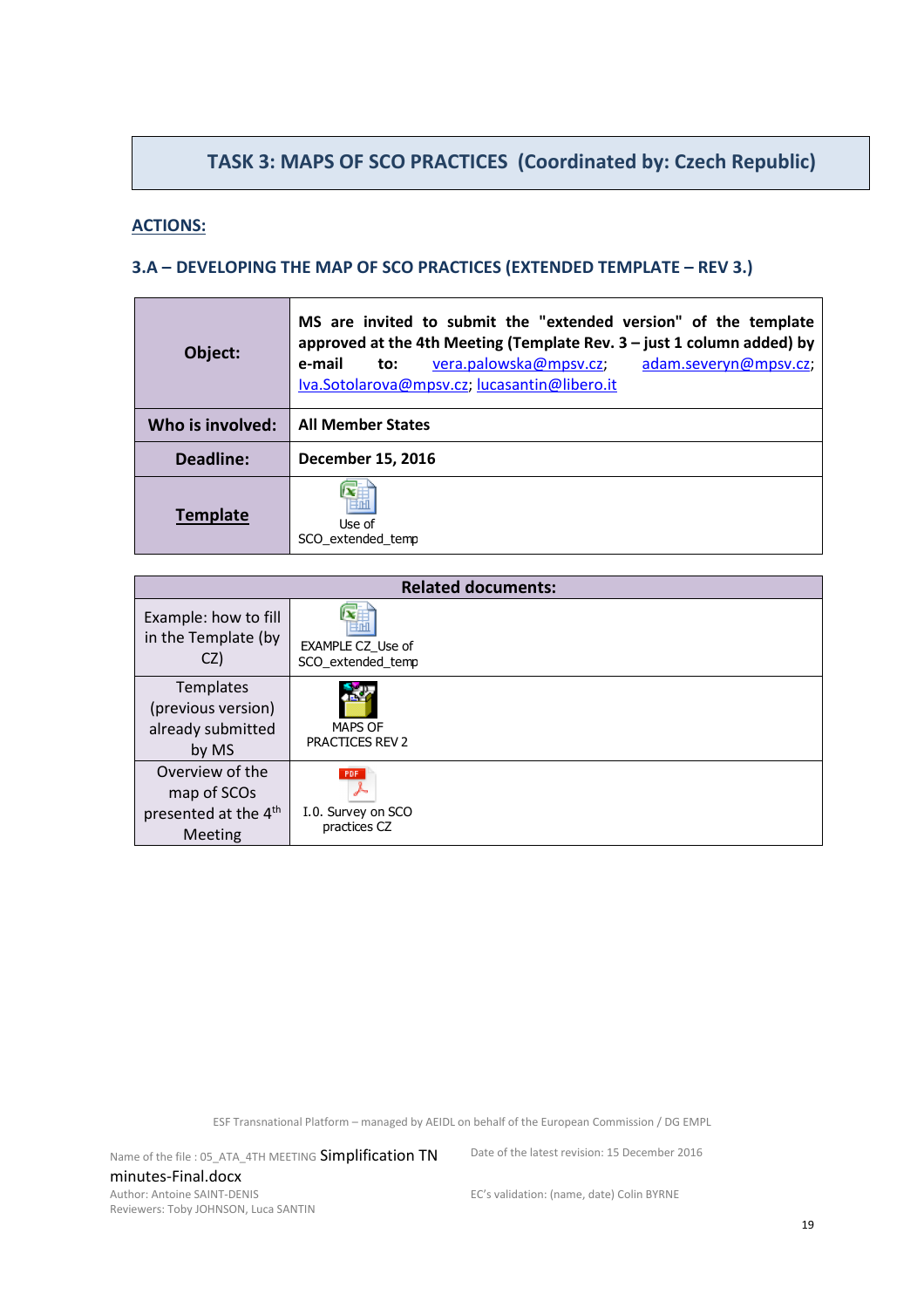# **TASK 3: MAPS OF SCO PRACTICES (Coordinated by: Czech Republic)**

#### **ACTIONS:**

#### **3.A – DEVELOPING THE MAP OF SCO PRACTICES (EXTENDED TEMPLATE – REV 3.)**

| Object:          | MS are invited to submit the "extended version" of the template<br>approved at the 4th Meeting (Template Rev. $3$ – just 1 column added) by<br>vera.palowska@mpsv.cz;<br>adam.severyn@mpsv.cz;<br>e-mail<br>to:<br>Iva.Sotolarova@mpsv.cz; lucasantin@libero.it |
|------------------|-----------------------------------------------------------------------------------------------------------------------------------------------------------------------------------------------------------------------------------------------------------------|
| Who is involved: | <b>All Member States</b>                                                                                                                                                                                                                                        |
| Deadline:        | December 15, 2016                                                                                                                                                                                                                                               |
| <b>Template</b>  | Use of<br>SCO extended temp                                                                                                                                                                                                                                     |

| <b>Related documents:</b>                                                     |                                               |  |
|-------------------------------------------------------------------------------|-----------------------------------------------|--|
| Example: how to fill<br>in the Template (by<br>CZ)                            | <b>EXAMPLE CZ Use of</b><br>SCO extended temp |  |
| Templates<br>(previous version)<br>already submitted<br>by MS                 | <b>MAPS OF</b><br><b>PRACTICES REV 2</b>      |  |
| Overview of the<br>map of SCOs<br>presented at the 4 <sup>th</sup><br>Meeting | PDF.<br>I.0. Survey on SCO<br>practices CZ    |  |

ESF Transnational Platform – managed by AEIDL on behalf of the European Commission / DG EMPL

Name of the file : 05\_ATA\_4TH MEETING Simplification TN minutes-Final.docx Author: Antoine SAINT-DENIS Reviewers: Toby JOHNSON, Luca SANTIN

Date of the latest revision: 15 December 2016